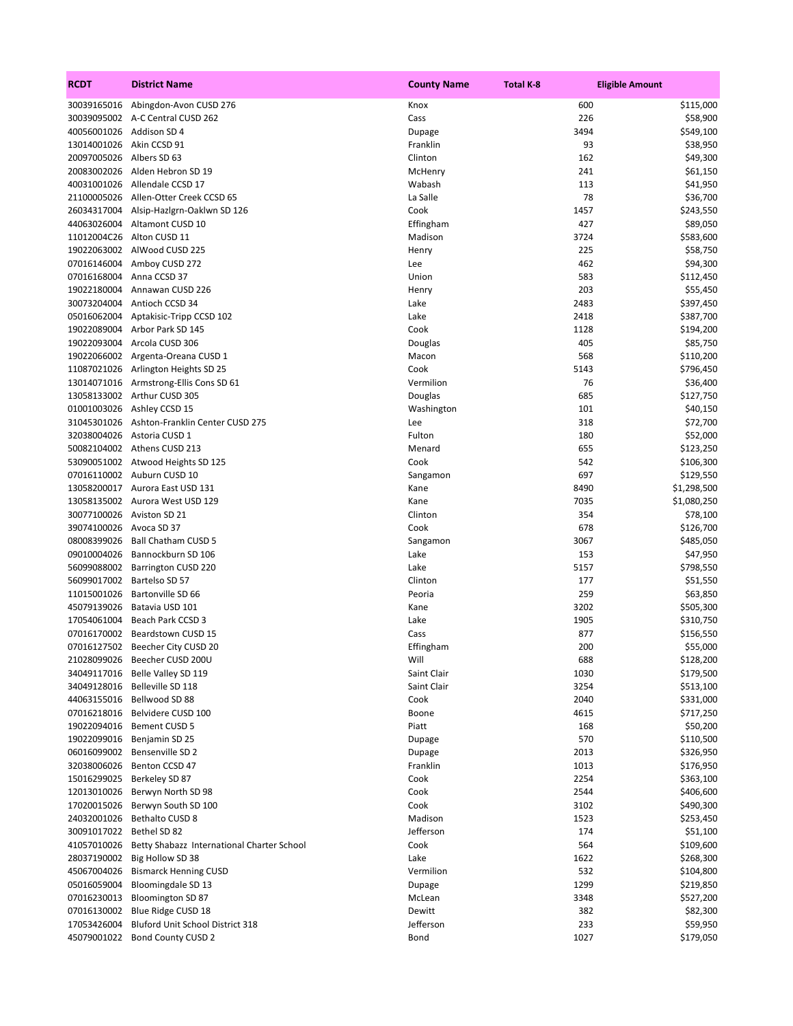| <b>RCDT</b>                | <b>District Name</b>                        | <b>County Name</b> | <b>Total K-8</b> | <b>Eligible Amount</b> |
|----------------------------|---------------------------------------------|--------------------|------------------|------------------------|
| 30039165016                | Abingdon-Avon CUSD 276                      | Knox               | 600              | \$115,000              |
|                            | 30039095002 A-C Central CUSD 262            | Cass               | 226              | \$58,900               |
| 40056001026 Addison SD 4   |                                             | Dupage             | 3494             | \$549,100              |
| 13014001026 Akin CCSD 91   |                                             | Franklin           | 93               | \$38,950               |
| 20097005026                | Albers SD 63                                | Clinton            | 162              | \$49,300               |
| 20083002026                | Alden Hebron SD 19                          | McHenry            | 241              | \$61,150               |
|                            | 40031001026 Allendale CCSD 17               | Wabash             | 113              | \$41,950               |
|                            | 21100005026 Allen-Otter Creek CCSD 65       | La Salle           | 78               | \$36,700               |
| 26034317004                | Alsip-Hazlgrn-Oaklwn SD 126                 | Cook               | 1457             | \$243,550              |
| 44063026004                | Altamont CUSD 10                            | Effingham          | 427              | \$89,050               |
|                            | 11012004C26 Alton CUSD 11                   | Madison            | 3724             | \$583,600              |
|                            | 19022063002 AlWood CUSD 225                 | Henry              | 225              | \$58,750               |
| 07016146004                | Amboy CUSD 272                              | Lee                | 462              | \$94,300               |
| 07016168004                | Anna CCSD 37                                | Union              | 583              | \$112,450              |
| 19022180004                | Annawan CUSD 226                            | Henry              | 203              | \$55,450               |
| 30073204004                | Antioch CCSD 34                             | Lake               | 2483             | \$397,450              |
| 05016062004                | Aptakisic-Tripp CCSD 102                    | Lake               | 2418             | \$387,700              |
| 19022089004                | Arbor Park SD 145                           | Cook               | 1128             | \$194,200              |
| 19022093004                | Arcola CUSD 306                             | Douglas            | 405              | \$85,750               |
|                            | 19022066002 Argenta-Oreana CUSD 1           | Macon              | 568              | \$110,200              |
| 11087021026                | Arlington Heights SD 25                     | Cook               | 5143             | \$796,450              |
|                            | 13014071016 Armstrong-Ellis Cons SD 61      | Vermilion          | 76               | \$36,400               |
|                            | 13058133002 Arthur CUSD 305                 | Douglas            | 685              | \$127,750              |
|                            | 01001003026 Ashley CCSD 15                  | Washington         | 101              | \$40,150               |
|                            | 31045301026 Ashton-Franklin Center CUSD 275 | Lee                | 318              | \$72,700               |
| 32038004026                | Astoria CUSD 1                              | Fulton             | 180              | \$52,000               |
|                            | 50082104002 Athens CUSD 213                 | Menard             | 655              | \$123,250              |
|                            | 53090051002 Atwood Heights SD 125           | Cook               | 542              | \$106,300              |
|                            | 07016110002 Auburn CUSD 10                  | Sangamon           | 697              | \$129,550              |
|                            | 13058200017 Aurora East USD 131             | Kane               | 8490             | \$1,298,500            |
|                            | 13058135002 Aurora West USD 129             | Kane               | 7035             | \$1,080,250            |
|                            | 30077100026 Aviston SD 21                   | Clinton            | 354              | \$78,100               |
| 39074100026 Avoca SD 37    |                                             | Cook               | 678              | \$126,700              |
| 08008399026                | <b>Ball Chatham CUSD 5</b>                  |                    | 3067             | \$485,050              |
| 09010004026                | Bannockburn SD 106                          | Sangamon<br>Lake   | 153              |                        |
| 56099088002                |                                             | Lake               | 5157             | \$47,950<br>\$798,550  |
| 56099017002                | Barrington CUSD 220<br>Bartelso SD 57       | Clinton            | 177              |                        |
|                            | 11015001026 Bartonville SD 66               | Peoria             | 259              | \$51,550<br>\$63,850   |
|                            |                                             |                    |                  |                        |
| 45079139026<br>17054061004 | Batavia USD 101                             | Kane<br>Lake       | 3202             | \$505,300              |
|                            | Beach Park CCSD 3                           | Cass               | 1905             | \$310,750              |
| 07016170002                | Beardstown CUSD 15                          | Effingham          | 877<br>200       | \$156,550              |
|                            | 07016127502 Beecher City CUSD 20            | Will               |                  | \$55,000               |
|                            | 21028099026 Beecher CUSD 200U               |                    | 688              | \$128,200              |
|                            | 34049117016 Belle Valley SD 119             | Saint Clair        | 1030             | \$179,500              |
| 34049128016                | Belleville SD 118                           | Saint Clair        | 3254             | \$513,100              |
|                            | 44063155016 Bellwood SD 88                  | Cook               | 2040             | \$331,000              |
|                            | 07016218016 Belvidere CUSD 100              | Boone              | 4615             | \$717,250              |
|                            | 19022094016 Bement CUSD 5                   | Piatt              | 168              | \$50,200               |
|                            | 19022099016 Benjamin SD 25                  | Dupage             | 570              | \$110,500              |
|                            | 06016099002 Bensenville SD 2                | Dupage             | 2013             | \$326,950              |
| 32038006026                | Benton CCSD 47                              | Franklin           | 1013             | \$176,950              |
| 15016299025                | Berkeley SD 87                              | Cook               | 2254             | \$363,100              |
|                            | 12013010026 Berwyn North SD 98              | Cook               | 2544             | \$406,600              |
| 17020015026                | Berwyn South SD 100                         | Cook               | 3102             | \$490,300              |
| 24032001026                | Bethalto CUSD 8                             | Madison            | 1523             | \$253,450              |
| 30091017022 Bethel SD 82   |                                             | Jefferson          | 174              | \$51,100               |
| 41057010026                | Betty Shabazz International Charter School  | Cook               | 564              | \$109,600              |
|                            | 28037190002 Big Hollow SD 38                | Lake               | 1622             | \$268,300              |
| 45067004026                | <b>Bismarck Henning CUSD</b>                | Vermilion          | 532              | \$104,800              |
| 05016059004                | Bloomingdale SD 13                          | Dupage             | 1299             | \$219,850              |
| 07016230013                | <b>Bloomington SD 87</b>                    | McLean             | 3348             | \$527,200              |
| 07016130002                | Blue Ridge CUSD 18                          | Dewitt             | 382              | \$82,300               |
| 17053426004                | Bluford Unit School District 318            | Jefferson          | 233              | \$59,950               |
| 45079001022                | <b>Bond County CUSD 2</b>                   | Bond               | 1027             | \$179,050              |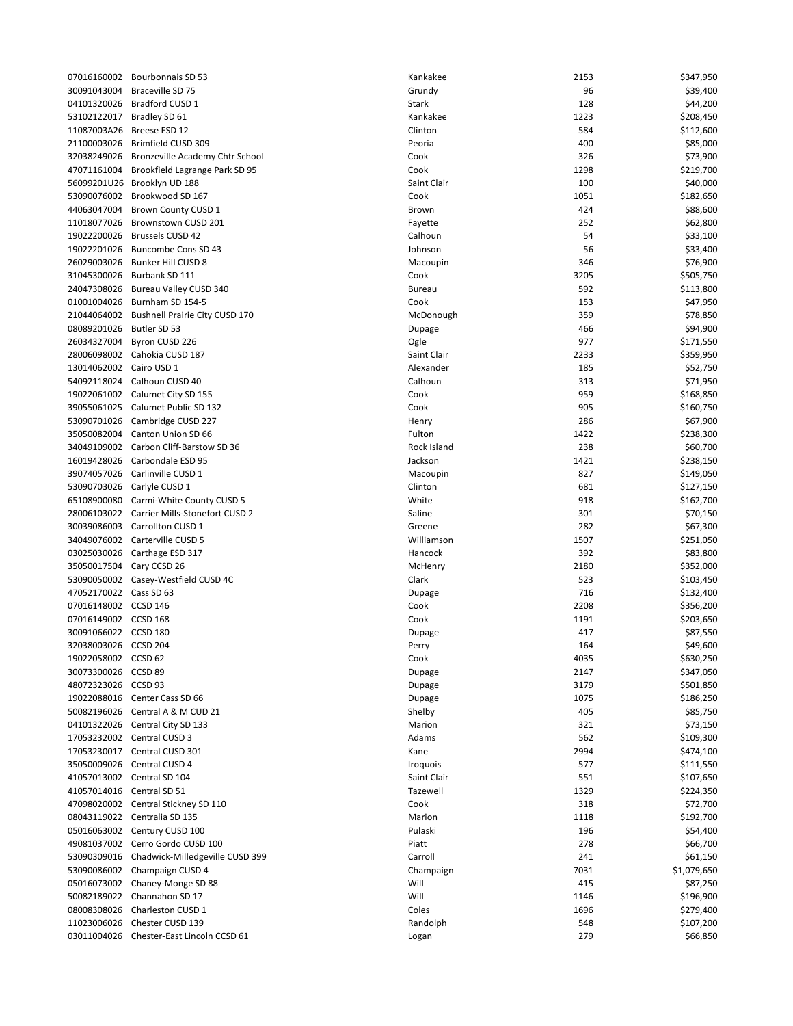| 07016160002          | Bourbonnais SD 53                     | Ka |
|----------------------|---------------------------------------|----|
| 30091043004          | Braceville SD 75                      | G  |
| 04101320026          | Bradford CUSD 1                       | St |
| 53102122017          | Bradley SD 61                         | Κa |
|                      | Breese ESD 12                         | Cl |
| 11087003A26          |                                       |    |
| 21100003026          | Brimfield CUSD 309                    | Pε |
| 32038249026          | Bronzeville Academy Chtr School       | C  |
| 47071161004          | Brookfield Lagrange Park SD 95        | C  |
| 56099201U26          | Brooklyn UD 188                       | Sa |
| 53090076002          | Brookwood SD 167                      | C  |
| 44063047004          | Brown County CUSD 1                   | Bι |
| 11018077026          | Brownstown CUSD 201                   | Fa |
| 19022200026          | <b>Brussels CUSD 42</b>               | C  |
| 19022201026          | Buncombe Cons SD 43                   | Jo |
| 26029003026          | Bunker Hill CUSD 8                    | M  |
| 31045300026          | Burbank SD 111                        | C  |
| 24047308026          | Bureau Valley CUSD 340                | Вι |
| 01001004026          | Burnham SD 154-5                      | C  |
| 21044064002          | <b>Bushnell Prairie City CUSD 170</b> | M  |
| 08089201026          | Butler SD 53                          | D  |
| 26034327004          | Byron CUSD 226                        | O  |
| 28006098002          | Cahokia CUSD 187                      | Sa |
| 13014062002          | Cairo USD 1                           | A  |
| 54092118024          | Calhoun CUSD 40                       | C  |
| 19022061002          | Calumet City SD 155                   | C  |
| 39055061025          | Calumet Public SD 132                 | C  |
| 53090701026          | Cambridge CUSD 227                    | н  |
| 35050082004          | Canton Union SD 66                    | Fι |
| 34049109002          | Carbon Cliff-Barstow SD 36            |    |
|                      |                                       | R  |
| 16019428026          | Carbondale ESD 95                     | Ja |
| 39074057026          | Carlinville CUSD 1                    | M  |
| 53090703026          | Carlyle CUSD 1                        | Cl |
| 65108900080          | Carmi-White County CUSD 5             | W  |
| 28006103022          | Carrier Mills-Stonefort CUSD 2        | Sa |
| 30039086003          | Carrollton CUSD 1                     | G  |
| 34049076002          | Carterville CUSD 5                    | W  |
| 03025030026          | Carthage ESD 317                      | H  |
| 35050017504          | Cary CCSD 26                          | M  |
| 53090050002          | Casey-Westfield CUSD 4C               | Cl |
| 47052170022          | Cass SD 63                            | D  |
| 07016148002          | CCSD 146                              | C  |
| 07016149002          | CCSD 168                              | C٥ |
| 30091066022          | <b>CCSD 180</b>                       | D  |
| 32038003026 CCSD 204 |                                       | Pι |
| 19022058002          | CCSD <sub>62</sub>                    | C  |
| 30073300026          | CCSD <sub>89</sub>                    | D  |
| 48072323026          | CCSD <sub>93</sub>                    | D  |
| 19022088016          | Center Cass SD 66                     | D  |
| 50082196026          | Central A & M CUD 21                  | Sł |
| 04101322026          | Central City SD 133                   | M  |
| 17053232002          | Central CUSD 3                        | A۱ |
| 17053230017          | Central CUSD 301                      | Κa |
| 35050009026          | Central CUSD 4                        | I٢ |
| 41057013002          | Central SD 104                        | Sa |
| 41057014016          | Central SD 51                         | Тέ |
| 47098020002          | Central Stickney SD 110               | C  |
| 08043119022          | Centralia SD 135                      | M  |
| 05016063002          | Century CUSD 100                      | Pι |
| 49081037002          | Cerro Gordo CUSD 100                  | Pi |
| 53090309016          | Chadwick-Milledgeville CUSD 399       | C  |
| 53090086002          | Champaign CUSD 4                      | Cl |
| 05016073002          | Chaney-Monge SD 88                    | W  |
| 50082189022          | Channahon SD 17                       | W  |
| 08008308026          | Charleston CUSD 1                     | C  |
| 11023006026          | Chester CUSD 139                      | R  |
| 03011004026          | Chester-East Lincoln CCSD 61          | Lc |
|                      |                                       |    |

|                          | 07016160002 Bourbonnais SD 53              | Kankakee      | 2153 | \$347,950   |
|--------------------------|--------------------------------------------|---------------|------|-------------|
| 30091043004              | Braceville SD 75                           | Grundy        | 96   | \$39,400    |
|                          | 04101320026 Bradford CUSD 1                | <b>Stark</b>  | 128  | \$44,200    |
|                          | 53102122017 Bradley SD 61                  | Kankakee      | 1223 | \$208,450   |
|                          | 11087003A26 Breese ESD 12                  | Clinton       | 584  | \$112,600   |
|                          | 21100003026 Brimfield CUSD 309             | Peoria        | 400  | \$85,000    |
| 32038249026              | Bronzeville Academy Chtr School            | Cook          | 326  | \$73,900    |
|                          | 47071161004 Brookfield Lagrange Park SD 95 | Cook          | 1298 | \$219,700   |
|                          | 56099201U26 Brooklyn UD 188                | Saint Clair   | 100  | \$40,000    |
|                          | 53090076002 Brookwood SD 167               | Cook          |      |             |
|                          |                                            |               | 1051 | \$182,650   |
|                          | 44063047004 Brown County CUSD 1            | Brown         | 424  | \$88,600    |
|                          | 11018077026 Brownstown CUSD 201            | Fayette       | 252  | \$62,800    |
|                          | 19022200026 Brussels CUSD 42               | Calhoun       | 54   | \$33,100    |
|                          | 19022201026 Buncombe Cons SD 43            | Johnson       | 56   | \$33,400    |
|                          | 26029003026 Bunker Hill CUSD 8             | Macoupin      | 346  | \$76,900    |
|                          | 31045300026 Burbank SD 111                 | Cook          | 3205 | \$505,750   |
|                          | 24047308026 Bureau Valley CUSD 340         | <b>Bureau</b> | 592  | \$113,800   |
|                          | 01001004026 Burnham SD 154-5               | Cook          | 153  | \$47,950    |
|                          | 21044064002 Bushnell Prairie City CUSD 170 | McDonough     | 359  | \$78,850    |
| 08089201026              | Butler SD 53                               | Dupage        | 466  | \$94,900    |
|                          | 26034327004 Byron CUSD 226                 | Ogle          | 977  | \$171,550   |
|                          | 28006098002 Cahokia CUSD 187               | Saint Clair   | 2233 | \$359,950   |
| 13014062002 Cairo USD 1  |                                            | Alexander     | 185  | \$52,750    |
| 54092118024              | Calhoun CUSD 40                            | Calhoun       | 313  | \$71,950    |
|                          | 19022061002 Calumet City SD 155            | Cook          | 959  | \$168,850   |
|                          |                                            | Cook          | 905  |             |
|                          | 39055061025 Calumet Public SD 132          |               |      | \$160,750   |
|                          | 53090701026 Cambridge CUSD 227             | Henry         | 286  | \$67,900    |
|                          | 35050082004 Canton Union SD 66             | Fulton        | 1422 | \$238,300   |
|                          | 34049109002 Carbon Cliff-Barstow SD 36     | Rock Island   | 238  | \$60,700    |
|                          | 16019428026 Carbondale ESD 95              | Jackson       | 1421 | \$238,150   |
|                          | 39074057026    Carlinville CUSD    1       | Macoupin      | 827  | \$149,050   |
|                          | 53090703026    Carlyle CUSD 1              | Clinton       | 681  | \$127,150   |
|                          | 65108900080 Carmi-White County CUSD 5      | White         | 918  | \$162,700   |
|                          | 28006103022 Carrier Mills-Stonefort CUSD 2 | Saline        | 301  | \$70,150    |
|                          | 30039086003 Carrollton CUSD 1              | Greene        | 282  | \$67,300    |
|                          | 34049076002 Carterville CUSD 5             | Williamson    | 1507 | \$251,050   |
|                          | 03025030026 Carthage ESD 317               | Hancock       | 392  | \$83,800    |
| 35050017504 Cary CCSD 26 |                                            | McHenry       | 2180 | \$352,000   |
|                          | 53090050002 Casey-Westfield CUSD 4C        | Clark         | 523  | \$103,450   |
| 47052170022 Cass SD 63   |                                            | Dupage        | 716  | \$132,400   |
| 07016148002 CCSD 146     |                                            | Cook          | 2208 | \$356,200   |
| 07016149002 CCSD 168     |                                            | Cook          | 1191 | \$203,650   |
| 30091066022 CCSD 180     |                                            |               | 417  |             |
|                          |                                            | Dupage        |      | \$87,550    |
| 32038003026 CCSD 204     |                                            | Perry         | 164  | \$49,600    |
| 19022058002 CCSD 62      |                                            | Cook          | 4035 | \$630,250   |
| 30073300026              | CCSD 89                                    | Dupage        | 2147 | \$347,050   |
| 48072323026              | CCSD 93                                    | Dupage        | 3179 | \$501,850   |
|                          | 19022088016 Center Cass SD 66              | Dupage        | 1075 | \$186,250   |
|                          | 50082196026    Central A & M CUD 21        | Shelby        | 405  | \$85,750    |
|                          | 04101322026 Central City SD 133            | Marion        | 321  | \$73,150    |
|                          | 17053232002 Central CUSD 3                 | Adams         | 562  | \$109,300   |
| 17053230017              | Central CUSD 301                           | Kane          | 2994 | \$474,100   |
|                          | 35050009026 Central CUSD 4                 | Iroquois      | 577  | \$111,550   |
|                          | 41057013002 Central SD 104                 | Saint Clair   | 551  | \$107,650   |
| 41057014016              | Central SD 51                              | Tazewell      | 1329 | \$224,350   |
|                          | 47098020002 Central Stickney SD 110        | Cook          | 318  | \$72,700    |
|                          | 08043119022 Centralia SD 135               | Marion        | 1118 | \$192,700   |
|                          | 05016063002 Century CUSD 100               | Pulaski       | 196  | \$54,400    |
|                          |                                            |               |      |             |
| 49081037002              | Cerro Gordo CUSD 100                       | Piatt         | 278  | \$66,700    |
| 53090309016              | Chadwick-Milledgeville CUSD 399            | Carroll       | 241  | \$61,150    |
|                          | 53090086002 Champaign CUSD 4               | Champaign     | 7031 | \$1,079,650 |
|                          | 05016073002 Chaney-Monge SD 88             | Will          | 415  | \$87,250    |
|                          | 50082189022 Channahon SD 17                | Will          | 1146 | \$196,900   |
| 08008308026              | Charleston CUSD 1                          | Coles         | 1696 | \$279,400   |
| 11023006026              | Chester CUSD 139                           | Randolph      | 548  | \$107,200   |
|                          | 03011004026 Chester-East Lincoln CCSD 61   | Logan         | 279  | \$66,850    |
|                          |                                            |               |      |             |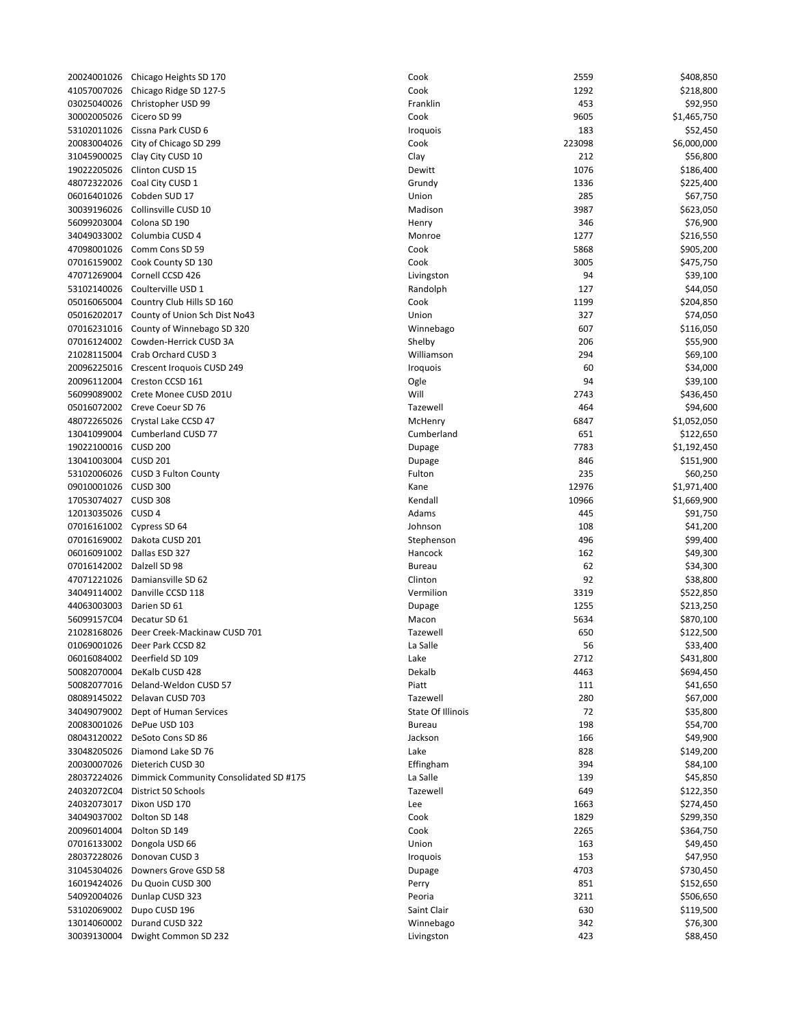20024001026 Chicago Heights SD 170 Cook 2559 \$408,850 \$408,850 \$408,850 \$408,850 \$408,850 \$408,850 \$408,850 \$40 41057007026 Chicago Ridge SD 127-5 COOK 2000 2018 03025040026 Christopher USD 99 F 30002005026 Cicero SD 99 Cook 9605 \$1,465,750 \$1,465,750 \$1,465,750 \$1,465,750 \$1,465,750 \$1,465,750 \$1,465,75 53102011026 Cissna Park CUSD 6 Iroquois 183 \$52,450 20083004026 City of Chicago SD 299 Cook 223098 \$6,000,000 31045900025 Clay City CUSD 10 C 19022205026 Clinton CUSD 15 Dewitt 1076 \$186,400 48072322026 Coal City CUSD 1 G 06016401026 Cobden SUD 17 Union 285 \$67,750 30039196026 Collinsville CUSD 10 Madison 3987 \$623,050 56099203004 Colona SD 190 Henry 346 \$76,900 34049033002 Columbia CUSD 4 Monroe 1277 1278 Monroe 1277 1278 Monroe 1278 1278 127 47098001026 Comm Cons SD 59 Comm Construction Comm Construction Comm Construction C 07016159002 Cook County SD 130 6005 \$475,750 \$475,750 \$475,750 \$475,750 \$475,750 \$475,750 \$475,750 \$475,750 47071269004 Cornell CCSD 426 **Livingston 94 \$39,1000 Livingston 94 \$39,100 Livings** 53102140026 Coulterville USD 1 R 05016065004 Country Club Hills SD 160 COOK 1199 \$204,850 \$204,850 \$204,850 \$204,850 \$204,850 \$204,850 05016202017 County of Union Sch Dist No43 Union 327 \$74,050 \$74,050 \$74,050 \$74,050 \$74,050 \$74,050 \$74,050 \$7 07016231016 County of Winnebago SD 320 07016124002 Cowden-Herrick CUSD 3A Shelby 206 \$55,900 \$55,900 \$55,900 \$55,900 \$55,900 \$ 21028115004 Crab Orchard CUSD 3 W 20096225016 Crescent Iroquois CUSD 249 Iroquois 60 \$34,000 20096112004 Creston CCSD 161 Ogle 94 \$39,100 56099089002 Crete Monee CUSD 201U Will 2743 \$436,450 05016072002 Creve Coeur SD 76 Tazewell 464 \$94,600 48072265026 Crystal Lake CCSD 47 McHenry 6847 \$1,052,050 Mc 13041099004 Cumberland CUSD 77 Cumberland 651 C 19022100016 CUSD 200 Dupage 7783 Dupage 7783 Dupage 7783 Dupage 7783 Dupage 7783 Dupage 7 13041003004 CUSD 201 Dupage 846 \$151,900 53102006026 CUSD 3 Fulton County Function 2006026 09010001026 CUSD 300 Kane 12976 \$1,971,400 17053074027 CUSD 308 Kendall 10966 \$1,669,900 12013035026 CUSD 4 Adams 445 \$91,750 07016161002 Cypress SD 64 Johnson 108 \$41,2000 \$41,2000 \$41,2000 \$41,2000 \$41,2000 \$41,2000 \$41,2000 \$41,2000 \$ 07016169002 Dakota CUSD 201 S 06016091002 Dallas ESD 327 Hancock 162 Hancock 162 Hancock 162 Hancock 162 Hancock 162 Hancock 162 Hancock 162 Hancock 162 Hancock 162 Hancock 162 Hancock 162 Hancock 162 Hancock 162 Hancock 162 Hancock 163 07016142002 Dalzell SD 98 Bureau 62 \$34,300 Bureau 62 \$34,300 Bureau 62 \$34,300 Bureau 62 \$34,300 Bureau 62 \$3 47071221026 Damiansville SD 62 Clinton 92 \$38,800 34049114002 Danville CCSD 118 Vermilion 3319 \$522,850 44063003003 Darien SD 61 Dupage 1255 \$213,250 Dupage 1255 \$213,250 Dupage 1255 \$213,250 56099157C04 Decatur SD 61 Macon 5634 Macon 564 21028168026 Deer Creek-Mackinaw CUSD 701 **Tazewell 650 \$122,500 \$122,500 \$122,500 \$122,500** 01069001026 Deer Park CCSD 82 La Salle 56 \$34,400 La Salle 56 \$34,400 La Salle 56 \$43,400 La Salle 56 \$43,400 06016084002 Deerfield SD 109 Lake 2712 \$431,8000 Lake 2712 \$431,8000 Lake 2712 \$431,8000 Lake 2712 \$431,8000 L 50082070004 DeKalb CUSD 428 Dekalb 4463 \$694,450 50082077016 Deland-Weldon CUSD 57 Piatt 1111 \$41,650 Piatt 111 \$41,650 Piatt 111 \$41,650 Piatt 111 \$41,650 Pia 08089145022 Delavan CUSD 703 Tazewell 280 \$67,000 34049079002 Dept of Human Services State Of Indian Services 20083001026 DePue USD 103 **Bureau 198 \$54,700 \$54,700 \$54,700 \$** 08043120022 DeSoto Cons SD 86 34,9000 166 \$49,900 166 \$49,900 166 \$49,900 166 \$49,900 166 \$49,900 166 \$49,900 33048205026 Diamond Lake SD 76 Lake 828 \$149,2000 Lake 828 \$149,2000 Lake 828 \$149,2000 Lake 828 \$149,2000 La 20030007026 Dieterich CUSD 30 Effingham 394 \$84,100 28037224026 Dimmick Community Consolidated SD #175 L 24032072C04 District 50 Schools Tazewell 649 \$122,350 24032073017 Dixon USD 170 Lee 1663 \$274,450 34049037002 Dolton SD 148 C 20096014004 Dolton SD 149 07016133002 Dongola USD 66 University of the Union 163  $\mu$ 28037228026 Donovan CUSD 3 **Iroquois 153 \$47,950 \$47,950 \$47,950 \$47,950 \$47,950 \$47,950 \$47,950 \$47,950 \$47,950** 31045304026 Downers Grove GSD 58 Dupage 4703 \$730,450 16019424026 Du Quoin CUSD 300 Perry 851 \$152,650 \$152,650 \$152,650 \$P 54092004026 Dunlap CUSD 323 Peoria 3211 \$506,650 53102069002 Dupo CUSD 196 Shannon Clair 630 \$110,500 \$110,500 \$119,500 \$119,500 \$ 13014060002 Durand CUSD 322 Winnebago 342 Winnebago 342 Winnebago 342 Winnebago 342 Winnebago 342 Winnebago 342 Winnebago 342 Winnebago 342 Winnebago 342 Winnebago 342 Winnebago 342 Winnebago 342 Winnebago 34 30039130004 Dwight Common SD 232 Livingston 423 All 2003 123 All 2012 12:30:450 All 2013 12:450 All 2014 12:45

| `ook             | 2559   | \$408,850   |
|------------------|--------|-------------|
| `ook             | 1292   | \$218,800   |
| ranklin          | 453    | \$92,950    |
| cook:            | 9605   | \$1,465,750 |
| roquois          | 183    | \$52,450    |
| cook:            | 223098 | \$6,000,000 |
| :lay             | 212    | \$56,800    |
| )ewitt           | 1076   | \$186,400   |
| irundy           | 1336   | \$225,400   |
| Jnion            | 285    | \$67,750    |
| Aadison          | 3987   | \$623,050   |
| lenry            | 346    | \$76,900    |
| Aonroe           | 1277   | \$216,550   |
| `ook             | 5868   | \$905,200   |
| cook:            | 3005   | \$475,750   |
| ivingston        | 94     | \$39,100    |
| andolph!         | 127    | \$44,050    |
| `ook             | 1199   | \$204,850   |
| Jnion            | 327    | \$74,050    |
| Vinnebago        | 607    | \$116,050   |
| helby            | 206    | \$55,900    |
| Villiamson       | 294    | \$69,100    |
| roquois          | 60     | \$34,000    |
| )gle             | 94     | \$39,100    |
| Vill             | 2743   | \$436,450   |
| azewell          | 464    | \$94,600    |
| <b>AcHenry</b>   | 6847   | \$1,052,050 |
| `umberland       | 651    | \$122,650   |
| )upage           | 7783   | \$1,192,450 |
| )upage           | 846    | \$151,900   |
| ulton            | 235    | \$60,250    |
| ane)             | 12976  | \$1,971,400 |
| endall)          | 10966  | \$1,669,900 |
| ۱dams            | 445    | \$91,750    |
| ohnson           | 108    | \$41,200    |
| tephenson        | 496    | \$99,400    |
| lancock          | 162    | \$49,300    |
| <b>Sureau</b>    | 62     | \$34,300    |
| Iinton:          | 92     | \$38,800    |
| ermilion         | 3319   | \$522,850   |
| Jupage           | 1255   | \$213,250   |
| Aacon            | 5634   | \$870,100   |
| azewell          | 650    | \$122,500   |
| a Salle          | 56     | \$33,400    |
| ake              | 2712   | \$431,800   |
| ekalb            | 4463   | \$694,450   |
| 'iatt            | 111    | \$41,650    |
| azewell          | 280    | \$67,000    |
| tate Of Illinois | 72     | \$35,800    |
| <b>Sureau</b>    | 198    | \$54,700    |
| ackson           | 166    | \$49,900    |
| ake              | 828    | \$149,200   |
| ffingham:        | 394    | \$84,100    |
| a Salle          | 139    | \$45,850    |
| azewell          | 649    | \$122,350   |
| ee               | 1663   | \$274,450   |
| cook:            | 1829   | \$299,350   |
|                  |        |             |
| `ook             | 2265   | \$364,750   |
| Jnion            | 163    | \$49,450    |
| roquois          | 153    | \$47,950    |
| Jupage           | 4703   | \$730,450   |
| erry             | 851    | \$152,650   |
| 'eoria           | 3211   | \$506,650   |
| aint Clair       | 630    | \$119,500   |
| Vinnebago        | 342    | \$76,300    |
| ivingston        | 423    | \$88,450    |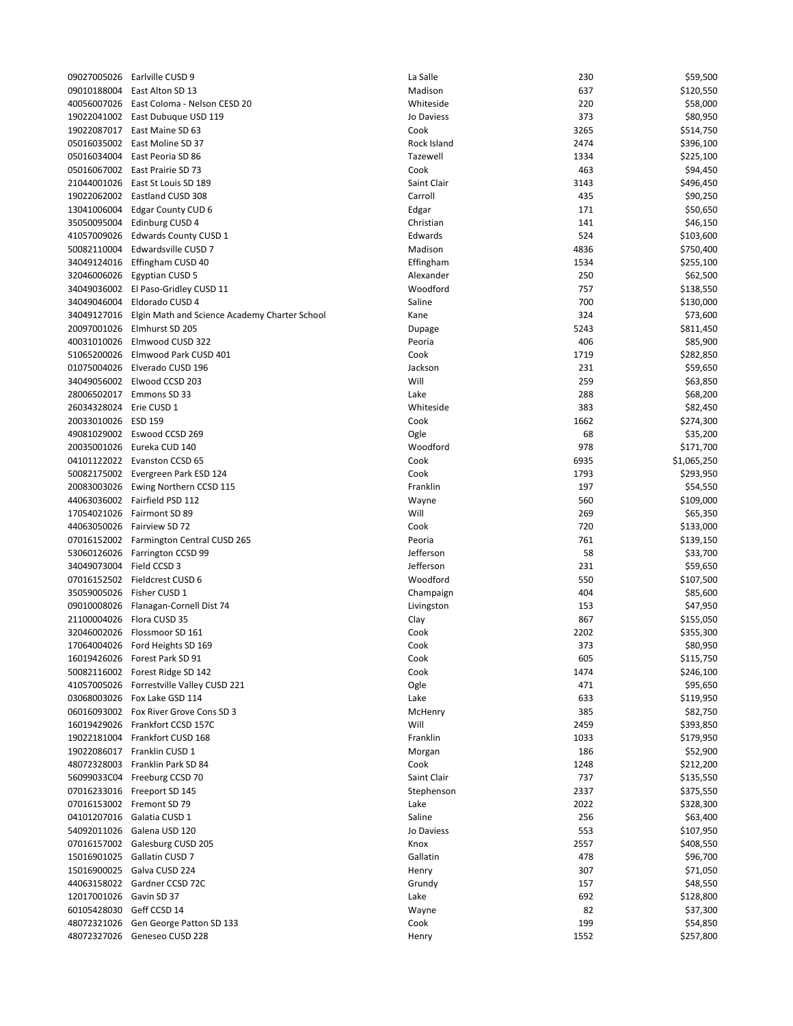| 09027005026              | Earlville CUSD 9                                          | La Salle    | 230  | \$59,500    |
|--------------------------|-----------------------------------------------------------|-------------|------|-------------|
|                          | 09010188004 East Alton SD 13                              | Madison     | 637  | \$120,550   |
|                          | 40056007026   East Coloma - Nelson CESD 20                | Whiteside   | 220  | \$58,000    |
|                          | 19022041002 East Dubuque USD 119                          | Jo Daviess  | 373  | \$80,950    |
|                          | 19022087017 East Maine SD 63                              | Cook        | 3265 | \$514,750   |
|                          | 05016035002 East Moline SD 37                             | Rock Island | 2474 | \$396,100   |
|                          | 05016034004 East Peoria SD 86                             | Tazewell    | 1334 | \$225,100   |
|                          | 05016067002 East Prairie SD 73                            | Cook        | 463  | \$94,450    |
|                          | 21044001026   East St Louis SD 189                        | Saint Clair | 3143 | \$496,450   |
|                          | 19022062002 Eastland CUSD 308                             | Carroll     | 435  | \$90,250    |
| 13041006004              | Edgar County CUD 6                                        | Edgar       | 171  | \$50,650    |
|                          | 35050095004 Edinburg CUSD 4                               | Christian   | 141  | \$46,150    |
|                          |                                                           |             |      |             |
|                          | 41057009026 Edwards County CUSD 1                         | Edwards     | 524  | \$103,600   |
|                          | 50082110004 Edwardsville CUSD 7                           | Madison     | 4836 | \$750,400   |
|                          | 34049124016 Effingham CUSD 40                             | Effingham   | 1534 | \$255,100   |
|                          | 32046006026 Egyptian CUSD 5                               | Alexander   | 250  | \$62,500    |
|                          | 34049036002 El Paso-Gridley CUSD 11                       | Woodford    | 757  | \$138,550   |
|                          | 34049046004 Eldorado CUSD 4                               | Saline      | 700  | \$130,000   |
|                          | 34049127016 Elgin Math and Science Academy Charter School | Kane        | 324  | \$73,600    |
| 20097001026              | Elmhurst SD 205                                           | Dupage      | 5243 | \$811,450   |
|                          | 40031010026 Elmwood CUSD 322                              | Peoria      | 406  | \$85,900    |
|                          | 51065200026 Elmwood Park CUSD 401                         | Cook        | 1719 | \$282,850   |
|                          | 01075004026 Elverado CUSD 196                             | Jackson     | 231  | \$59,650    |
|                          | 34049056002 Elwood CCSD 203                               | Will        | 259  | \$63,850    |
|                          | 28006502017 Emmons SD 33                                  | Lake        | 288  | \$68,200    |
| 26034328024 Erie CUSD 1  |                                                           | Whiteside   | 383  | \$82,450    |
|                          |                                                           |             |      | \$274,300   |
| 20033010026 ESD 159      |                                                           | Cook        | 1662 |             |
|                          | 49081029002 Eswood CCSD 269                               | Ogle        | 68   | \$35,200    |
|                          | 20035001026 Eureka CUD 140                                | Woodford    | 978  | \$171,700   |
|                          | 04101122022 Evanston CCSD 65                              | Cook        | 6935 | \$1,065,250 |
|                          | 50082175002 Evergreen Park ESD 124                        | Cook        | 1793 | \$293,950   |
|                          | 20083003026 Ewing Northern CCSD 115                       | Franklin    | 197  | \$54,550    |
|                          | 44063036002 Fairfield PSD 112                             | Wayne       | 560  | \$109,000   |
|                          | 17054021026 Fairmont SD 89                                | Will        | 269  | \$65,350    |
|                          | 44063050026 Fairview SD 72                                | Cook        | 720  | \$133,000   |
|                          | 07016152002 Farmington Central CUSD 265                   | Peoria      | 761  | \$139,150   |
|                          | 53060126026 Farrington CCSD 99                            | Jefferson   | 58   | \$33,700    |
| 34049073004 Field CCSD 3 |                                                           | Jefferson   | 231  | \$59,650    |
|                          | 07016152502 Fieldcrest CUSD 6                             | Woodford    | 550  | \$107,500   |
|                          | 35059005026 Fisher CUSD 1                                 | Champaign   | 404  | \$85,600    |
|                          | 09010008026 Flanagan-Cornell Dist 74                      |             | 153  | \$47,950    |
|                          |                                                           | Livingston  |      |             |
|                          | 21100004026 Flora CUSD 35                                 | Clay        | 867  | \$155,050   |
|                          | 32046002026 Flossmoor SD 161                              | Cook        | 2202 | \$355,300   |
|                          | 17064004026 Ford Heights SD 169                           | Cook        | 373  | \$80,950    |
|                          | 16019426026 Forest Park SD 91                             | Cook        | 605  | \$115,750   |
|                          | 50082116002 Forest Ridge SD 142                           | Cook        | 1474 | \$246,100   |
|                          | 41057005026 Forrestville Valley CUSD 221                  | Ogle        | 471  | \$95,650    |
|                          | 03068003026 Fox Lake GSD 114                              | Lake        | 633  | \$119,950   |
|                          | 06016093002 Fox River Grove Cons SD 3                     | McHenry     | 385  | \$82,750    |
|                          | 16019429026 Frankfort CCSD 157C                           | Will        | 2459 | \$393,850   |
|                          | 19022181004 Frankfort CUSD 168                            | Franklin    | 1033 | \$179,950   |
|                          | 19022086017 Franklin CUSD 1                               | Morgan      | 186  | \$52,900    |
|                          | 48072328003 Franklin Park SD 84                           | Cook        | 1248 | \$212,200   |
|                          | 56099033C04 Freeburg CCSD 70                              | Saint Clair | 737  | \$135,550   |
|                          | 07016233016 Freeport SD 145                               | Stephenson  | 2337 | \$375,550   |
|                          | 07016153002 Fremont SD 79                                 | Lake        | 2022 | \$328,300   |
|                          |                                                           |             |      |             |
|                          | 04101207016 Galatia CUSD 1                                | Saline      | 256  | \$63,400    |
| 54092011026              | Galena USD 120                                            | Jo Daviess  | 553  | \$107,950   |
|                          | 07016157002 Galesburg CUSD 205                            | Knox        | 2557 | \$408,550   |
|                          | 15016901025 Gallatin CUSD 7                               | Gallatin    | 478  | \$96,700    |
|                          | 15016900025 Galva CUSD 224                                | Henry       | 307  | \$71,050    |
|                          | 44063158022 Gardner CCSD 72C                              | Grundy      | 157  | \$48,550    |
| 12017001026 Gavin SD 37  |                                                           | Lake        | 692  | \$128,800   |
| 60105428030 Geff CCSD 14 |                                                           | Wayne       | 82   | \$37,300    |
|                          | 48072321026 Gen George Patton SD 133                      | Cook        | 199  | \$54,850    |
|                          | 48072327026 Geneseo CUSD 228                              | Henry       | 1552 | \$257,800   |
|                          |                                                           |             |      |             |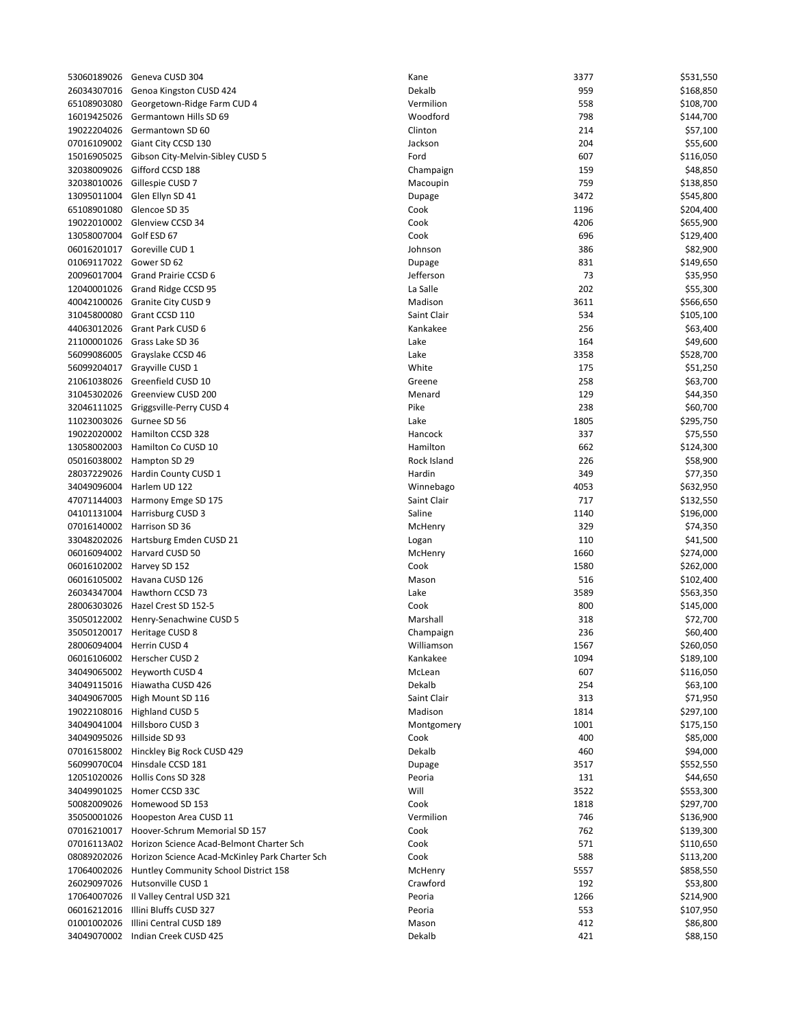|                            | 53060189026 Geneva CUSD 304                                | Kane        | 3377 | \$531,550 |
|----------------------------|------------------------------------------------------------|-------------|------|-----------|
| 26034307016                | Genoa Kingston CUSD 424                                    | Dekalb      | 959  | \$168,850 |
| 65108903080                | Georgetown-Ridge Farm CUD 4                                | Vermilion   | 558  | \$108,700 |
| 16019425026                | Germantown Hills SD 69                                     | Woodford    | 798  | \$144,700 |
| 19022204026                | Germantown SD 60                                           | Clinton     | 214  |           |
|                            |                                                            |             |      | \$57,100  |
|                            | 07016109002 Giant City CCSD 130                            | Jackson     | 204  | \$55,600  |
| 15016905025                | Gibson City-Melvin-Sibley CUSD 5                           | Ford        | 607  | \$116,050 |
| 32038009026                | Gifford CCSD 188                                           | Champaign   | 159  | \$48,850  |
| 32038010026                | Gillespie CUSD 7                                           | Macoupin    | 759  | \$138,850 |
| 13095011004                | Glen Ellyn SD 41                                           | Dupage      | 3472 | \$545,800 |
| 65108901080                | Glencoe SD 35                                              | Cook        | 1196 | \$204,400 |
|                            | 19022010002 Glenview CCSD 34                               | Cook        | 4206 | \$655,900 |
| 13058007004 Golf ESD 67    |                                                            | Cook        | 696  | \$129,400 |
|                            | 06016201017 Goreville CUD 1                                | Johnson     | 386  | \$82,900  |
| 01069117022                | Gower SD 62                                                |             | 831  |           |
|                            |                                                            | Dupage      |      | \$149,650 |
| 20096017004                | Grand Prairie CCSD 6                                       | Jefferson   | 73   | \$35,950  |
| 12040001026                | Grand Ridge CCSD 95                                        | La Salle    | 202  | \$55,300  |
|                            | 40042100026 Granite City CUSD 9                            | Madison     | 3611 | \$566,650 |
|                            | 31045800080 Grant CCSD 110                                 | Saint Clair | 534  | \$105,100 |
| 44063012026                | Grant Park CUSD 6                                          | Kankakee    | 256  | \$63,400  |
| 21100001026                | Grass Lake SD 36                                           | Lake        | 164  | \$49,600  |
| 56099086005                | Grayslake CCSD 46                                          | Lake        | 3358 | \$528,700 |
|                            | 56099204017 Grayville CUSD 1                               | White       | 175  | \$51,250  |
|                            | 21061038026 Greenfield CUSD 10                             | Greene      | 258  | \$63,700  |
|                            |                                                            |             |      |           |
|                            | 31045302026 Greenview CUSD 200                             | Menard      | 129  | \$44,350  |
| 32046111025                | Griggsville-Perry CUSD 4                                   | Pike        | 238  | \$60,700  |
| 11023003026                | Gurnee SD 56                                               | Lake        | 1805 | \$295,750 |
|                            | 19022020002 Hamilton CCSD 328                              | Hancock     | 337  | \$75,550  |
|                            | 13058002003 Hamilton Co CUSD 10                            | Hamilton    | 662  | \$124,300 |
|                            | 05016038002 Hampton SD 29                                  | Rock Island | 226  | \$58,900  |
|                            | 28037229026 Hardin County CUSD 1                           | Hardin      | 349  | \$77,350  |
|                            | 34049096004 Harlem UD 122                                  | Winnebago   | 4053 | \$632,950 |
| 47071144003                | Harmony Emge SD 175                                        | Saint Clair | 717  | \$132,550 |
|                            | 04101131004 Harrisburg CUSD 3                              | Saline      | 1140 | \$196,000 |
|                            | 07016140002 Harrison SD 36                                 | McHenry     | 329  | \$74,350  |
|                            | 33048202026 Hartsburg Emden CUSD 21                        |             | 110  | \$41,500  |
|                            |                                                            | Logan       | 1660 |           |
|                            | 06016094002 Harvard CUSD 50                                | McHenry     |      | \$274,000 |
|                            | 06016102002 Harvey SD 152                                  | Cook        | 1580 | \$262,000 |
|                            | 06016105002 Havana CUSD 126                                | Mason       | 516  | \$102,400 |
| 26034347004                | Hawthorn CCSD 73                                           | Lake        | 3589 | \$563,350 |
|                            | 28006303026 Hazel Crest SD 152-5                           | Cook        | 800  | \$145,000 |
|                            | 35050122002 Henry-Senachwine CUSD 5                        | Marshall    | 318  | \$72,700  |
|                            | 35050120017 Heritage CUSD 8                                | Champaign   | 236  | \$60,400  |
|                            | 28006094004 Herrin CUSD 4                                  | Williamson  | 1567 | \$260,050 |
|                            | 06016106002 Herscher CUSD 2                                | Kankakee    | 1094 | \$189,100 |
|                            | 34049065002 Heyworth CUSD 4                                | McLean      | 607  | \$116,050 |
|                            | 34049115016 Hiawatha CUSD 426                              | Dekalb      | 254  | \$63,100  |
|                            | 34049067005 High Mount SD 116                              | Saint Clair | 313  | \$71,950  |
|                            |                                                            |             |      |           |
|                            | 19022108016 Highland CUSD 5                                | Madison     | 1814 | \$297,100 |
| 34049041004                | Hillsboro CUSD 3                                           | Montgomery  | 1001 | \$175,150 |
| 34049095026 Hillside SD 93 |                                                            | Cook        | 400  | \$85,000  |
|                            | 07016158002 Hinckley Big Rock CUSD 429                     | Dekalb      | 460  | \$94,000  |
| 56099070C04                | Hinsdale CCSD 181                                          | Dupage      | 3517 | \$552,550 |
|                            | 12051020026 Hollis Cons SD 328                             | Peoria      | 131  | \$44,650  |
|                            | 34049901025 Homer CCSD 33C                                 | Will        | 3522 | \$553,300 |
|                            | 50082009026 Homewood SD 153                                | Cook        | 1818 | \$297,700 |
|                            | 35050001026 Hoopeston Area CUSD 11                         | Vermilion   | 746  | \$136,900 |
|                            | 07016210017 Hoover-Schrum Memorial SD 157                  | Cook        | 762  | \$139,300 |
|                            |                                                            |             |      |           |
|                            | 07016113A02 Horizon Science Acad-Belmont Charter Sch       | Cook        | 571  | \$110,650 |
|                            | 08089202026 Horizon Science Acad-McKinley Park Charter Sch | Cook        | 588  | \$113,200 |
|                            | 17064002026 Huntley Community School District 158          | McHenry     | 5557 | \$858,550 |
|                            | 26029097026 Hutsonville CUSD 1                             | Crawford    | 192  | \$53,800  |
| 17064007026                | Il Valley Central USD 321                                  | Peoria      | 1266 | \$214,900 |
| 06016212016                | Illini Bluffs CUSD 327                                     | Peoria      | 553  | \$107,950 |
| 01001002026                | Illini Central CUSD 189                                    | Mason       | 412  | \$86,800  |
|                            | 34049070002 Indian Creek CUSD 425                          | Dekalb      | 421  | \$88,150  |

| ne            | 3377        | \$531,550 |
|---------------|-------------|-----------|
| kalb          | 959         | \$168,850 |
| rmilion       | 558         | \$108,700 |
| oodford       | 798         | \$144,700 |
| nton          | 214         | \$57,100  |
| ckson         | 204         | \$55,600  |
| rd            | 607         | \$116,050 |
| ampaign       | 159         | \$48,850  |
| acoupin       | 759         | \$138,850 |
| page          | 3472        | \$545,800 |
| ok            | 1196        | \$204,400 |
| ok            | 4206        | \$655,900 |
| ok            | 696         | \$129,400 |
| าทรon         | 386         | \$82,900  |
| ipage         | 831         | \$149,650 |
| ferson        | 73          | \$35,950  |
| Salle         | 202         | \$55,300  |
| adison        | 3611        | \$566,650 |
| int Clair     | 534         | \$105,100 |
| nkakee        | 256         | \$63,400  |
| ke            | 164         | \$49,600  |
| ke            | 3358        | \$528,700 |
| hite          | 175         | \$51,250  |
| eene          | 258         | \$63,700  |
| enard         | 129         | \$44,350  |
| œ             | 238         | \$60,700  |
| ke            | 1805        | \$295,750 |
| ncock         | 337         | \$75,550  |
| milton        | 662         | \$124,300 |
| ck Island     | 226         | \$58,900  |
| rdin          | 349         | \$77,350  |
| innebago      | 4053        | \$632,950 |
| int Clair     | 717         | \$132,550 |
| line          | 1140        | \$196,000 |
| <b>CHenry</b> | 329         | \$74,350  |
| gan           | 110         | \$41,500  |
| cHenry        | 1660        | \$274,000 |
| ok            | 1580        | \$262,000 |
| ason          | 516         | \$102,400 |
| ke            | 3589        | \$563,350 |
| ok            | 800         | \$145,000 |
| arshall       | 318         | \$72,700  |
| ampaign       | 236         | \$60,400  |
| illiamson     | 1567        | \$260,050 |
| nkakee        | 1094        | \$189,100 |
| cLean         | 607         | \$116,050 |
| kalb          | 254         | \$63,100  |
| int Clair     | 313         | \$71,950  |
| adison        | 1814        | \$297,100 |
| ontgomery     | 1001        | \$175,150 |
| ok            | 400         | \$85,000  |
| kalb          | 460         | \$94,000  |
|               | 3517        | \$552,550 |
| ipage         |             | \$44,650  |
| oria<br>ill   | 131<br>3522 |           |
| ok            |             | \$553,300 |
| rmilion       | 1818        | \$297,700 |
|               | 746         | \$136,900 |
| ok            | 762         | \$139,300 |
| ok            | 571         | \$110,650 |
| ok            | 588         | \$113,200 |
| <b>CHenry</b> | 5557        | \$858,550 |
| awford        | 192         | \$53,800  |
| oria          | 1266        | \$214,900 |
| oria          | 553         | \$107,950 |
| ason          | 412         | \$86,800  |
| kalb          | 421         | \$88,150  |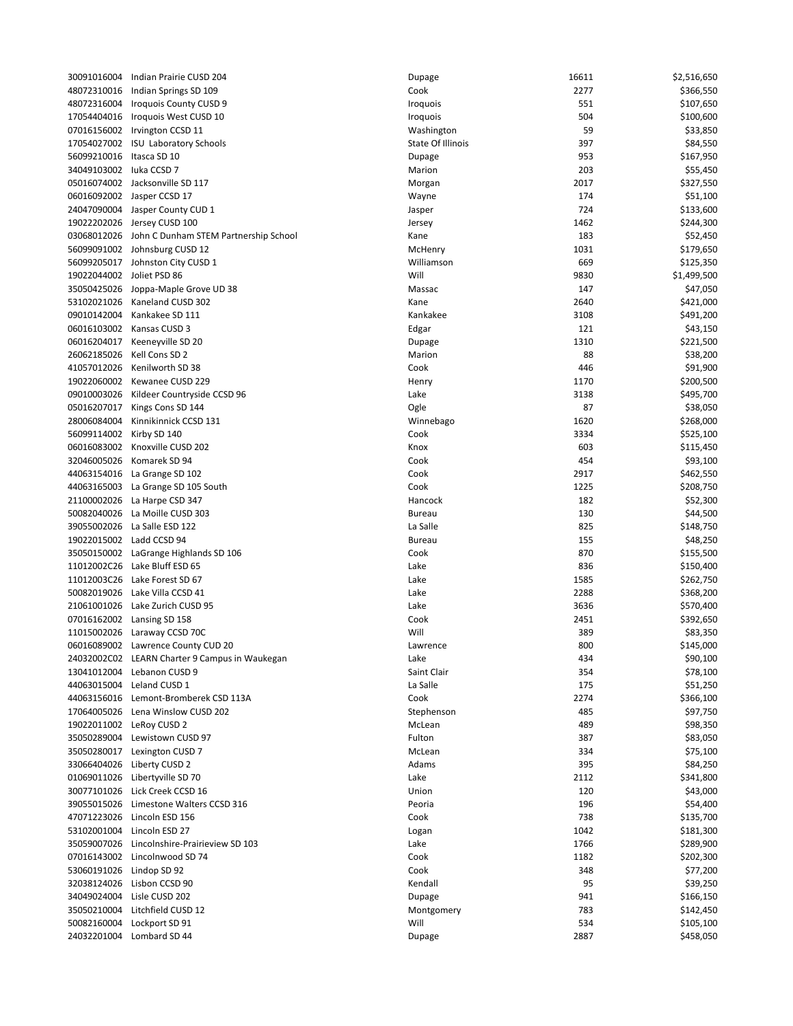|                           |                                                              |                   |               | \$2,516,650 |
|---------------------------|--------------------------------------------------------------|-------------------|---------------|-------------|
| 48072310016               | 30091016004 Indian Prairie CUSD 204<br>Indian Springs SD 109 | Dupage<br>Cook    | 16611<br>2277 | \$366,550   |
|                           | 48072316004 Iroquois County CUSD 9                           | <b>Iroquois</b>   | 551           | \$107,650   |
| 17054404016               | Iroquois West CUSD 10                                        | Iroquois          | 504           | \$100,600   |
|                           | 07016156002 Irvington CCSD 11                                | Washington        | 59            | \$33,850    |
|                           | 17054027002 ISU Laboratory Schools                           | State Of Illinois | 397           | \$84,550    |
| 56099210016               | Itasca SD 10                                                 | Dupage            | 953           | \$167,950   |
| 34049103002 luka CCSD 7   |                                                              | Marion            | 203           | \$55,450    |
|                           | 05016074002 Jacksonville SD 117                              | Morgan            | 2017          | \$327,550   |
|                           | 06016092002 Jasper CCSD 17                                   | Wayne             | 174           | \$51,100    |
|                           | 24047090004 Jasper County CUD 1                              | Jasper            | 724           | \$133,600   |
|                           | 19022202026 Jersey CUSD 100                                  | Jersey            | 1462          | \$244,300   |
|                           | 03068012026 John C Dunham STEM Partnership School            | Kane              | 183           | \$52,450    |
|                           | 56099091002 Johnsburg CUSD 12                                | McHenry           | 1031          | \$179,650   |
|                           | 56099205017 Johnston City CUSD 1                             | Williamson        | 669           | \$125,350   |
| 19022044002 Joliet PSD 86 |                                                              | Will              | 9830          | \$1,499,500 |
|                           | 35050425026 Joppa-Maple Grove UD 38                          | Massac            | 147           | \$47,050    |
|                           | 53102021026 Kaneland CUSD 302                                | Kane              | 2640          | \$421,000   |
| 09010142004               | Kankakee SD 111                                              | Kankakee          | 3108          | \$491,200   |
|                           | 06016103002 Kansas CUSD 3                                    | Edgar             | 121           | \$43,150    |
| 06016204017               | Keeneyville SD 20                                            | Dupage            | 1310          | \$221,500   |
| 26062185026               | Kell Cons SD 2                                               | Marion            | 88            | \$38,200    |
| 41057012026               | Kenilworth SD 38                                             | Cook              | 446           | \$91,900    |
|                           | 19022060002 Kewanee CUSD 229                                 | Henry             | 1170          | \$200,500   |
|                           | 09010003026 Kildeer Countryside CCSD 96                      | Lake              | 3138          | \$495,700   |
|                           | 05016207017 Kings Cons SD 144                                | Ogle              | 87            | \$38,050    |
| 28006084004               | Kinnikinnick CCSD 131                                        | Winnebago         | 1620          | \$268,000   |
| 56099114002               | Kirby SD 140                                                 | Cook              | 3334          | \$525,100   |
|                           | 06016083002 Knoxville CUSD 202                               | Knox              | 603           | \$115,450   |
| 32046005026               | Komarek SD 94                                                | Cook              | 454           | \$93,100    |
|                           | 44063154016 La Grange SD 102                                 | Cook              | 2917          | \$462,550   |
|                           | 44063165003 La Grange SD 105 South                           | Cook              | 1225          | \$208,750   |
|                           | 21100002026 La Harpe CSD 347                                 | Hancock           | 182           | \$52,300    |
| 50082040026               | La Moille CUSD 303                                           | <b>Bureau</b>     | 130           | \$44,500    |
| 39055002026               | La Salle ESD 122                                             | La Salle          | 825           | \$148,750   |
| 19022015002 Ladd CCSD 94  |                                                              | <b>Bureau</b>     | 155           | \$48,250    |
|                           | 35050150002 LaGrange Highlands SD 106                        | Cook              | 870           | \$155,500   |
|                           | 11012002C26 Lake Bluff ESD 65                                | Lake              | 836           | \$150,400   |
| 11012003C26               | Lake Forest SD 67                                            | Lake              | 1585          | \$262,750   |
|                           | 50082019026 Lake Villa CCSD 41                               | Lake              | 2288          | \$368,200   |
|                           | 21061001026 Lake Zurich CUSD 95                              | Lake              | 3636          | \$570,400   |
|                           | 07016162002 Lansing SD 158                                   | Cook              | 2451          | \$392,650   |
|                           | 11015002026 Laraway CCSD 70C                                 | Will              | 389           | \$83,350    |
|                           | 06016089002 Lawrence County CUD 20                           | Lawrence          | 800           | \$145,000   |
|                           | 24032002C02 LEARN Charter 9 Campus in Waukegan               | Lake              | 434           | \$90,100    |
|                           | 13041012004 Lebanon CUSD 9                                   | Saint Clair       | 354           | \$78,100    |
|                           | 44063015004 Leland CUSD 1                                    | La Salle          | 175           | \$51,250    |
|                           | 44063156016 Lemont-Bromberek CSD 113A                        | Cook              | 2274          | \$366,100   |
|                           | 17064005026 Lena Winslow CUSD 202                            | Stephenson        | 485           | \$97,750    |
| 19022011002 LeRoy CUSD 2  |                                                              | McLean            | 489           | \$98,350    |
|                           | 35050289004 Lewistown CUSD 97                                | Fulton            | 387           | \$83,050    |
|                           | 35050280017 Lexington CUSD 7                                 | McLean            | 334           | \$75,100    |
|                           | 33066404026 Liberty CUSD 2                                   | Adams             | 395           | \$84,250    |
|                           | 01069011026 Libertyville SD 70                               | Lake              | 2112          | \$341,800   |
|                           | 30077101026 Lick Creek CCSD 16                               | Union             | 120           | \$43,000    |
|                           | 39055015026 Limestone Walters CCSD 316                       | Peoria            | 196           | \$54,400    |
|                           | 47071223026 Lincoln ESD 156                                  | Cook              | 738           | \$135,700   |
|                           | 53102001004 Lincoln ESD 27                                   | Logan             | 1042          | \$181,300   |
|                           | 35059007026 Lincolnshire-Prairieview SD 103                  | Lake              | 1766          | \$289,900   |
|                           | 07016143002 Lincolnwood SD 74                                | Cook              | 1182          | \$202,300   |
| 53060191026 Lindop SD 92  |                                                              | Cook              | 348           | \$77,200    |
|                           | 32038124026 Lisbon CCSD 90                                   | Kendall           | 95            | \$39,250    |
|                           | 34049024004 Lisle CUSD 202                                   | Dupage            | 941           | \$166,150   |
|                           | 35050210004 Litchfield CUSD 12                               | Montgomery        | 783           | \$142,450   |
|                           | 50082160004 Lockport SD 91                                   | Will              | 534           | \$105,100   |
|                           | 24032201004 Lombard SD 44                                    | Dupage            | 2887          | \$458,050   |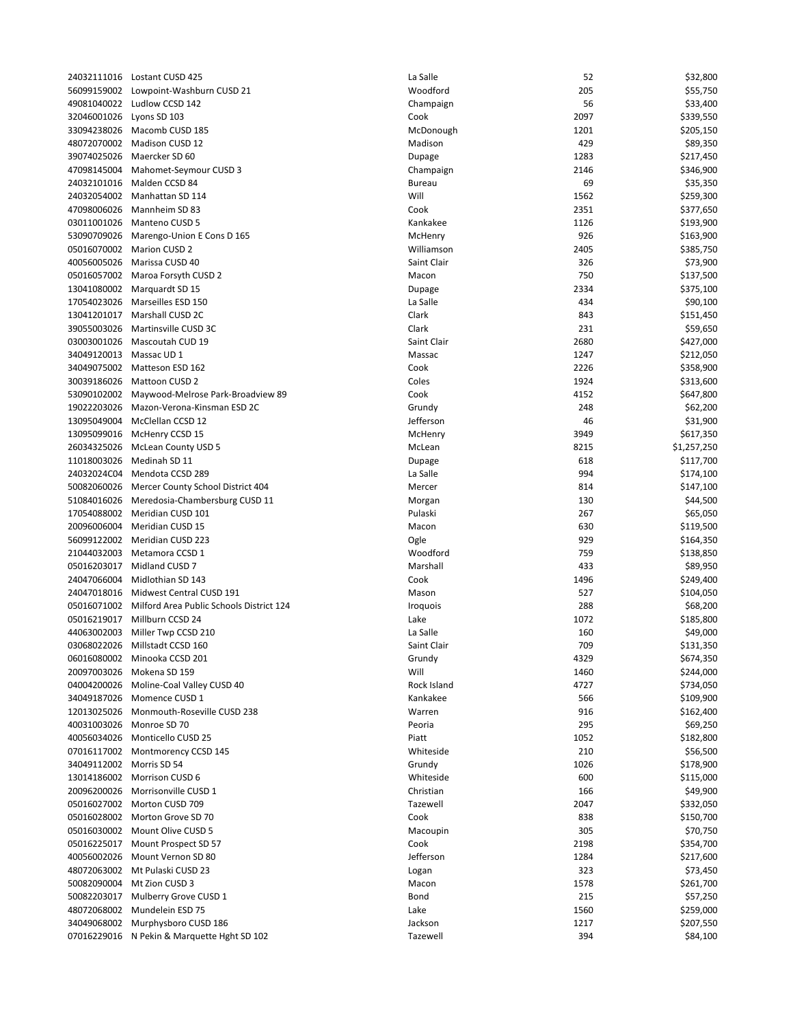|                          | 24032111016 Lostant CUSD 425                         | La Salle      | 52   | \$32,800    |
|--------------------------|------------------------------------------------------|---------------|------|-------------|
| 56099159002              | Lowpoint-Washburn CUSD 21                            | Woodford      | 205  | \$55,750    |
| 49081040022              | Ludlow CCSD 142                                      | Champaign     | 56   | \$33,400    |
| 32046001026              | Lyons SD 103                                         | Cook          | 2097 | \$339,550   |
|                          | 33094238026 Macomb CUSD 185                          | McDonough     | 1201 | \$205,150   |
|                          | 48072070002 Madison CUSD 12                          | Madison       | 429  |             |
|                          |                                                      |               |      | \$89,350    |
| 39074025026              | Maercker SD 60                                       | Dupage        | 1283 | \$217,450   |
| 47098145004              | Mahomet-Seymour CUSD 3                               | Champaign     | 2146 | \$346,900   |
| 24032101016              | Malden CCSD 84                                       | <b>Bureau</b> | 69   | \$35,350    |
| 24032054002              | Manhattan SD 114                                     | Will          | 1562 | \$259,300   |
| 47098006026              | Mannheim SD 83                                       | Cook          | 2351 | \$377,650   |
| 03011001026              | Manteno CUSD 5                                       | Kankakee      | 1126 | \$193,900   |
|                          |                                                      |               |      |             |
| 53090709026              | Marengo-Union E Cons D 165                           | McHenry       | 926  | \$163,900   |
| 05016070002              | Marion CUSD 2                                        | Williamson    | 2405 | \$385,750   |
| 40056005026              | Marissa CUSD 40                                      | Saint Clair   | 326  | \$73,900    |
| 05016057002              | Maroa Forsyth CUSD 2                                 | Macon         | 750  | \$137,500   |
| 13041080002              | Marquardt SD 15                                      | Dupage        | 2334 | \$375,100   |
|                          | 17054023026 Marseilles ESD 150                       | La Salle      | 434  | \$90,100    |
|                          |                                                      |               |      |             |
|                          | 13041201017 Marshall CUSD 2C                         | Clark         | 843  | \$151,450   |
| 39055003026              | Martinsville CUSD 3C                                 | Clark         | 231  | \$59,650    |
| 03003001026              | Mascoutah CUD 19                                     | Saint Clair   | 2680 | \$427,000   |
| 34049120013              | Massac UD <sub>1</sub>                               | Massac        | 1247 | \$212,050   |
|                          | 34049075002 Matteson ESD 162                         | Cook          | 2226 | \$358,900   |
|                          |                                                      |               |      |             |
|                          | 30039186026 Mattoon CUSD 2                           | Coles         | 1924 | \$313,600   |
|                          | 53090102002 Maywood-Melrose Park-Broadview 89        | Cook          | 4152 | \$647,800   |
| 19022203026              | Mazon-Verona-Kinsman ESD 2C                          | Grundy        | 248  | \$62,200    |
| 13095049004              | McClellan CCSD 12                                    | Jefferson     | 46   | \$31,900    |
| 13095099016              | McHenry CCSD 15                                      | McHenry       | 3949 | \$617,350   |
| 26034325026              | McLean County USD 5                                  | McLean        | 8215 | \$1,257,250 |
|                          |                                                      |               |      |             |
| 11018003026              | Medinah SD 11                                        | Dupage        | 618  | \$117,700   |
|                          | 24032024C04 Mendota CCSD 289                         | La Salle      | 994  | \$174,100   |
| 50082060026              | Mercer County School District 404                    | Mercer        | 814  | \$147,100   |
| 51084016026              | Meredosia-Chambersburg CUSD 11                       | Morgan        | 130  | \$44,500    |
| 17054088002              | Meridian CUSD 101                                    | Pulaski       | 267  | \$65,050    |
| 20096006004              | Meridian CUSD 15                                     | Macon         | 630  | \$119,500   |
|                          |                                                      |               |      |             |
| 56099122002              | Meridian CUSD 223                                    | Ogle          | 929  | \$164,350   |
| 21044032003              | Metamora CCSD 1                                      | Woodford      | 759  | \$138,850   |
|                          | 05016203017 Midland CUSD 7                           | Marshall      | 433  | \$89,950    |
| 24047066004              | Midlothian SD 143                                    | Cook          | 1496 | \$249,400   |
| 24047018016              | Midwest Central CUSD 191                             | Mason         | 527  | \$104,050   |
|                          |                                                      |               | 288  |             |
|                          | 05016071002 Milford Area Public Schools District 124 | Iroquois      |      | \$68,200    |
| 05016219017              | Millburn CCSD 24                                     | Lake          | 1072 | \$185,800   |
|                          | 44063002003 Miller Twp CCSD 210                      | La Salle      | 160  | \$49,000    |
|                          | 03068022026 Millstadt CCSD 160                       | Saint Clair   | 709  | \$131,350   |
|                          | 06016080002 Minooka CCSD 201                         | Grundy        | 4329 | \$674,350   |
| 20097003026              | Mokena SD 159                                        | Will          | 1460 | \$244,000   |
|                          |                                                      |               |      |             |
| 04004200026              | Moline-Coal Valley CUSD 40                           | Rock Island   | 4727 | \$734,050   |
|                          | 34049187026 Momence CUSD 1                           | Kankakee      | 566  | \$109,900   |
|                          | 12013025026 Monmouth-Roseville CUSD 238              | Warren        | 916  | \$162,400   |
|                          | 40031003026 Monroe SD 70                             | Peoria        | 295  | \$69,250    |
|                          | 40056034026 Monticello CUSD 25                       | Piatt         | 1052 | \$182,800   |
| 07016117002              | Montmorency CCSD 145                                 | Whiteside     | 210  | \$56,500    |
|                          |                                                      |               |      |             |
| 34049112002 Morris SD 54 |                                                      | Grundy        | 1026 | \$178,900   |
|                          | 13014186002 Morrison CUSD 6                          | Whiteside     | 600  | \$115,000   |
|                          | 20096200026 Morrisonville CUSD 1                     | Christian     | 166  | \$49,900    |
|                          | 05016027002 Morton CUSD 709                          | Tazewell      | 2047 | \$332,050   |
| 05016028002              | Morton Grove SD 70                                   | Cook          | 838  | \$150,700   |
|                          | 05016030002 Mount Olive CUSD 5                       | Macoupin      | 305  | \$70,750    |
|                          |                                                      |               |      |             |
| 05016225017              | Mount Prospect SD 57                                 | Cook          | 2198 | \$354,700   |
| 40056002026              | Mount Vernon SD 80                                   | Jefferson     | 1284 | \$217,600   |
|                          | 48072063002 Mt Pulaski CUSD 23                       | Logan         | 323  | \$73,450    |
|                          | 50082090004 Mt Zion CUSD 3                           | Macon         | 1578 | \$261,700   |
|                          | 50082203017 Mulberry Grove CUSD 1                    | Bond          | 215  | \$57,250    |
| 48072068002              | Mundelein ESD 75                                     | Lake          | 1560 |             |
|                          |                                                      |               |      | \$259,000   |
| 34049068002              | Murphysboro CUSD 186                                 | Jackson       | 1217 | \$207,550   |
|                          | 07016229016 N Pekin & Marquette Hght SD 102          | Tazewell      | 394  | \$84,100    |
|                          |                                                      |               |      |             |

| Salle     | 52   | \$32,800    |
|-----------|------|-------------|
| bodford   | 205  | \$55,750    |
| ampaign   | 56   | \$33,400    |
| ok        | 2097 | \$339,550   |
| :Donough  | 1201 | \$205,150   |
|           |      |             |
| adison    | 429  | \$89,350    |
| page      | 1283 | \$217,450   |
| ampaign   | 2146 | \$346,900   |
| reau      | 69   | \$35,350    |
| II        | 1562 | \$259,300   |
|           |      |             |
| ok        | 2351 | \$377,650   |
| nkakee    | 1126 | \$193,900   |
| :Henry    | 926  | \$163,900   |
| lliamson  | 2405 | \$385,750   |
| nt Clair  | 326  |             |
|           |      | \$73,900    |
| acon      | 750  | \$137,500   |
| page      | 2334 | \$375,100   |
| Salle     | 434  | \$90,100    |
| ırk       | 843  | \$151,450   |
| ırk       | 231  |             |
|           |      | \$59,650    |
| nt Clair  | 2680 | \$427,000   |
| assac     | 1247 | \$212,050   |
| ok        | 2226 | \$358,900   |
| les       | 1924 | \$313,600   |
|           |      |             |
| ok        | 4152 | \$647,800   |
| undy      | 248  | \$62,200    |
| ferson    | 46   | \$31,900    |
| :Henry    | 3949 | \$617,350   |
| :Lean     | 8215 | \$1,257,250 |
|           |      |             |
| page      | 618  | \$117,700   |
| Salle     | 994  | \$174,100   |
| ercer     | 814  | \$147,100   |
| organ     | 130  | \$44,500    |
| laski     | 267  | \$65,050    |
|           | 630  |             |
| acon      |      | \$119,500   |
| le        | 929  | \$164,350   |
| bodford   | 759  | \$138,850   |
| arshall   | 433  | \$89,950    |
| ok        | 1496 | \$249,400   |
| ison      | 527  | \$104,050   |
|           |      |             |
| quois     | 288  | \$68,200    |
| «e        | 1072 | \$185,800   |
| Salle     | 160  | \$49,000    |
| nt Clair  | 709  | \$131,350   |
| undy      | 4329 | \$674,350   |
| Ш         |      |             |
|           | 1460 | \$244,000   |
| ck Island | 4727 | \$734,050   |
| nkakee    | 566  | \$109,900   |
| arren     | 916  | \$162,400   |
| oria      | 295  | \$69,250    |
|           | 1052 | \$182,800   |
| ıtt       |      |             |
| iteside   | 210  | \$56,500    |
| undy      | 1026 | \$178,900   |
| iiteside  | 600  | \$115,000   |
| ristian   | 166  | \$49,900    |
|           |      |             |
| zewell    | 2047 | \$332,050   |
| ok        | 838  | \$150,700   |
| acoupin   | 305  | \$70,750    |
| ok        | 2198 | \$354,700   |
| ferson    | 1284 | \$217,600   |
|           |      |             |
| gan       | 323  | \$73,450    |
| acon      | 1578 | \$261,700   |
| nd        | 215  | \$57,250    |
| ce        | 1560 | \$259,000   |
| :kson     | 1217 | \$207,550   |
| zewell    | 394  | \$84,100    |
|           |      |             |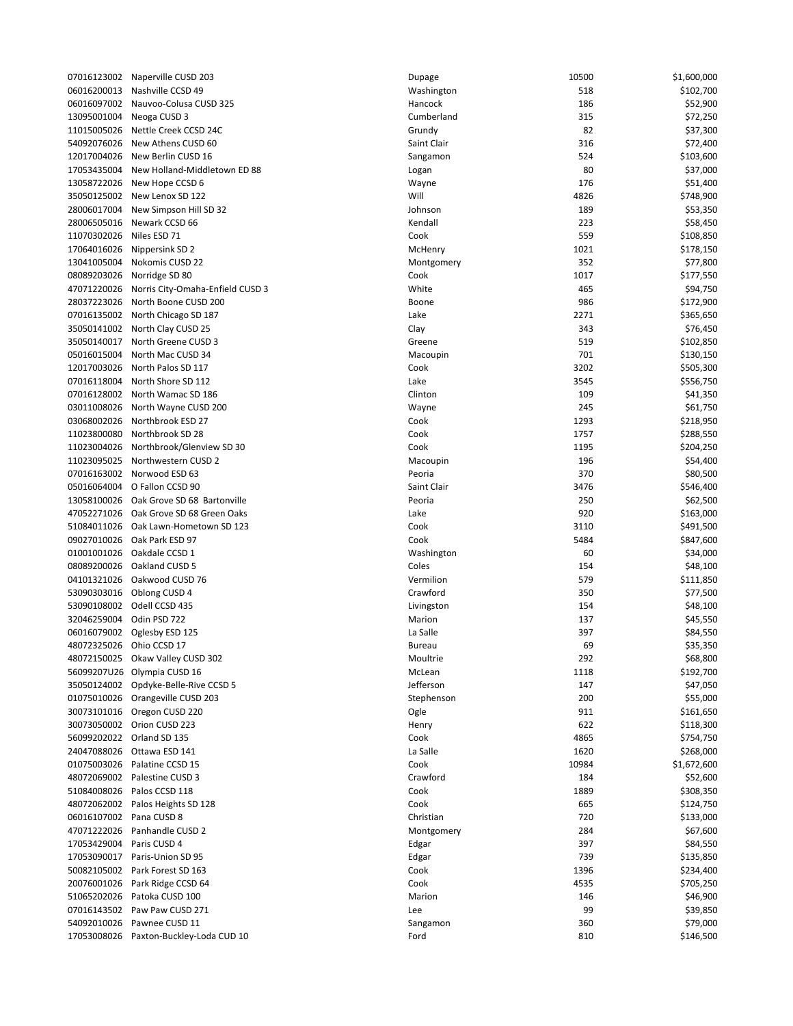| 07016123002 | Naperville CUSD 203              |
|-------------|----------------------------------|
| 06016200013 | Nashville CCSD 49                |
|             | Nauvoo-Colusa CUSD 325           |
| 06016097002 |                                  |
| 13095001004 | Neoga CUSD 3                     |
| 11015005026 | Nettle Creek CCSD 24C            |
| 54092076026 | New Athens CUSD 60               |
|             |                                  |
| 12017004026 | New Berlin CUSD 16               |
| 17053435004 | New Holland-Middletown ED 88     |
| 13058722026 | New Hope CCSD 6                  |
| 35050125002 | New Lenox SD 122                 |
|             |                                  |
| 28006017004 | New Simpson Hill SD 32           |
| 28006505016 | Newark CCSD 66                   |
| 11070302026 | Niles ESD 71                     |
| 17064016026 | Nippersink SD 2                  |
| 13041005004 | Nokomis CUSD 22                  |
|             |                                  |
| 08089203026 | Norridge SD 80                   |
| 47071220026 | Norris City-Omaha-Enfield CUSD 3 |
| 28037223026 | North Boone CUSD 200             |
| 07016135002 | North Chicago SD 187             |
|             |                                  |
| 35050141002 | North Clay CUSD 25               |
| 35050140017 | North Greene CUSD 3              |
| 05016015004 | North Mac CUSD 34                |
| 12017003026 | North Palos SD 117               |
|             |                                  |
| 07016118004 | North Shore SD 112               |
| 07016128002 | North Wamac SD 186               |
| 03011008026 | North Wayne CUSD 200             |
| 03068002026 | Northbrook ESD 27                |
|             |                                  |
| 11023800080 | Northbrook SD 28                 |
| 11023004026 | Northbrook/Glenview SD 30        |
| 11023095025 | Northwestern CUSD 2              |
| 07016163002 | Norwood ESD 63                   |
|             |                                  |
| 05016064004 | O Fallon CCSD 90                 |
| 13058100026 | Oak Grove SD 68 Bartonville      |
| 47052271026 | Oak Grove SD 68 Green Oaks       |
| 51084011026 | Oak Lawn-Hometown SD 123         |
|             |                                  |
| 09027010026 | Oak Park ESD 97                  |
| 01001001026 | Oakdale CCSD 1                   |
| 08089200026 | Oakland CUSD 5                   |
| 04101321026 | Oakwood CUSD 76                  |
|             |                                  |
| 53090303016 | Oblong CUSD 4                    |
| 53090108002 | Odell CCSD 435                   |
| 32046259004 | Odin PSD 722                     |
| 06016079002 | Oglesby ESD 125                  |
| 48072325026 | Ohio CCSD 17                     |
|             |                                  |
| 48072150025 | Okaw Valley CUSD 302             |
| 56099207U26 | Olympia CUSD 16                  |
| 35050124002 | Opdyke-Belle-Rive CCSD 5         |
| 01075010026 | Orangeville CUSD 203             |
|             |                                  |
| 30073101016 | Oregon CUSD 220                  |
| 30073050002 | Orion CUSD 223                   |
| 56099202022 | Orland SD 135                    |
| 24047088026 | Ottawa ESD 141                   |
| 01075003026 | Palatine CCSD 15                 |
|             |                                  |
| 48072069002 | Palestine CUSD 3                 |
| 51084008026 | Palos CCSD 118                   |
| 48072062002 | Palos Heights SD 128             |
| 06016107002 | Pana CUSD 8                      |
|             |                                  |
| 47071222026 | Panhandle CUSD 2                 |
| 17053429004 | Paris CUSD 4                     |
| 17053090017 | Paris-Union SD 95                |
| 50082105002 | Park Forest SD 163               |
|             |                                  |
| 20076001026 | Park Ridge CCSD 64               |
| 51065202026 | Patoka CUSD 100                  |
| 07016143502 | Paw Paw CUSD 271                 |
| 54092010026 | Pawnee CUSD 11                   |
| 17053008026 | Paxton-Buckley-Loda CUD 10       |
|             |                                  |

|             | 07016123002 Naperville CUSD 203        | Dupage        | 10500 | \$1,600,000 |
|-------------|----------------------------------------|---------------|-------|-------------|
|             | 06016200013 Nashville CCSD 49          | Washington    | 518   | \$102,700   |
| 06016097002 | Nauvoo-Colusa CUSD 325                 | Hancock       | 186   | \$52,900    |
| 13095001004 | Neoga CUSD 3                           | Cumberland    | 315   | \$72,250    |
|             | 11015005026 Nettle Creek CCSD 24C      | Grundy        | 82    | \$37,300    |
| 54092076026 | New Athens CUSD 60                     | Saint Clair   | 316   | \$72,400    |
| 12017004026 | New Berlin CUSD 16                     |               | 524   |             |
|             |                                        | Sangamon      |       | \$103,600   |
| 17053435004 | New Holland-Middletown ED 88           | Logan         | 80    | \$37,000    |
| 13058722026 | New Hope CCSD 6                        | Wayne         | 176   | \$51,400    |
|             | 35050125002 New Lenox SD 122           | Will          | 4826  | \$748,900   |
| 28006017004 | New Simpson Hill SD 32                 | Johnson       | 189   | \$53,350    |
| 28006505016 | Newark CCSD 66                         | Kendall       | 223   | \$58,450    |
| 11070302026 | Niles ESD 71                           | Cook          | 559   | \$108,850   |
| 17064016026 | Nippersink SD 2                        | McHenry       | 1021  | \$178,150   |
| 13041005004 | Nokomis CUSD 22                        | Montgomery    | 352   | \$77,800    |
|             |                                        |               |       |             |
| 08089203026 | Norridge SD 80                         | Cook          | 1017  | \$177,550   |
| 47071220026 | Norris City-Omaha-Enfield CUSD 3       | White         | 465   | \$94,750    |
| 28037223026 | North Boone CUSD 200                   | Boone         | 986   | \$172,900   |
|             | 07016135002 North Chicago SD 187       | Lake          | 2271  | \$365,650   |
|             | 35050141002 North Clay CUSD 25         | Clay          | 343   | \$76,450    |
| 35050140017 | North Greene CUSD 3                    | Greene        | 519   | \$102,850   |
| 05016015004 | North Mac CUSD 34                      | Macoupin      | 701   | \$130,150   |
|             | 12017003026 North Palos SD 117         | Cook          | 3202  | \$505,300   |
|             | 07016118004 North Shore SD 112         | Lake          | 3545  | \$556,750   |
|             |                                        | Clinton       |       |             |
|             | 07016128002 North Wamac SD 186         |               | 109   | \$41,350    |
| 03011008026 | North Wayne CUSD 200                   | Wayne         | 245   | \$61,750    |
| 03068002026 | Northbrook ESD 27                      | Cook          | 1293  | \$218,950   |
|             | 11023800080 Northbrook SD 28           | Cook          | 1757  | \$288,550   |
| 11023004026 | Northbrook/Glenview SD 30              | Cook          | 1195  | \$204,250   |
|             | 11023095025 Northwestern CUSD 2        | Macoupin      | 196   | \$54,400    |
|             | 07016163002 Norwood ESD 63             | Peoria        | 370   | \$80,500    |
| 05016064004 | O Fallon CCSD 90                       | Saint Clair   | 3476  | \$546,400   |
| 13058100026 | Oak Grove SD 68 Bartonville            | Peoria        | 250   | \$62,500    |
|             |                                        | Lake          |       |             |
|             | 47052271026 Oak Grove SD 68 Green Oaks |               | 920   | \$163,000   |
|             | 51084011026 Oak Lawn-Hometown SD 123   | Cook          | 3110  | \$491,500   |
|             | 09027010026 Oak Park ESD 97            | Cook          | 5484  | \$847,600   |
| 01001001026 | Oakdale CCSD 1                         | Washington    | 60    | \$34,000    |
| 08089200026 | Oakland CUSD 5                         | Coles         | 154   | \$48,100    |
| 04101321026 | Oakwood CUSD 76                        | Vermilion     | 579   | \$111,850   |
|             | 53090303016 Oblong CUSD 4              | Crawford      | 350   | \$77,500    |
|             | 53090108002 Odell CCSD 435             | Livingston    | 154   | \$48,100    |
| 32046259004 | Odin PSD 722                           | Marion        | 137   | \$45,550    |
| 06016079002 |                                        | La Salle      | 397   |             |
|             | Oglesby ESD 125                        |               |       | \$84,550    |
| 48072325026 | Ohio CCSD 17                           | <b>Bureau</b> | 69    | \$35,350    |
| 48072150025 | Okaw Valley CUSD 302                   | Moultrie      | 292   | \$68,800    |
|             | 56099207U26 Olympia CUSD 16            | McLean        | 1118  | \$192,700   |
| 35050124002 | Opdyke-Belle-Rive CCSD 5               | Jefferson     | 147   | \$47,050    |
| 01075010026 | Orangeville CUSD 203                   | Stephenson    | 200   | \$55,000    |
| 30073101016 | Oregon CUSD 220                        | Ogle          | 911   | \$161,650   |
| 30073050002 | Orion CUSD 223                         | Henry         | 622   | \$118,300   |
| 56099202022 | Orland SD 135                          | Cook          | 4865  | \$754,750   |
| 24047088026 | Ottawa ESD 141                         | La Salle      | 1620  | \$268,000   |
|             |                                        |               |       |             |
| 01075003026 | Palatine CCSD 15                       | Cook          | 10984 | \$1,672,600 |
| 48072069002 | Palestine CUSD 3                       | Crawford      | 184   | \$52,600    |
| 51084008026 | Palos CCSD 118                         | Cook          | 1889  | \$308,350   |
|             | 48072062002 Palos Heights SD 128       | Cook          | 665   | \$124,750   |
| 06016107002 | Pana CUSD 8                            | Christian     | 720   | \$133,000   |
| 47071222026 | Panhandle CUSD 2                       | Montgomery    | 284   | \$67,600    |
| 17053429004 | Paris CUSD 4                           | Edgar         | 397   | \$84,550    |
| 17053090017 | Paris-Union SD 95                      | Edgar         | 739   | \$135,850   |
|             | 50082105002 Park Forest SD 163         | Cook          | 1396  | \$234,400   |
|             |                                        | Cook          | 4535  |             |
| 20076001026 | Park Ridge CCSD 64                     |               |       | \$705,250   |
| 51065202026 | Patoka CUSD 100                        | Marion        | 146   | \$46,900    |
|             | 07016143502    Paw Paw CUSD 271        | Lee           | 99    | \$39,850    |
| 54092010026 | Pawnee CUSD 11                         | Sangamon      | 360   | \$79,000    |
| 17053008026 | Paxton-Buckley-Loda CUD 10             | Ford          | 810   | \$146,500   |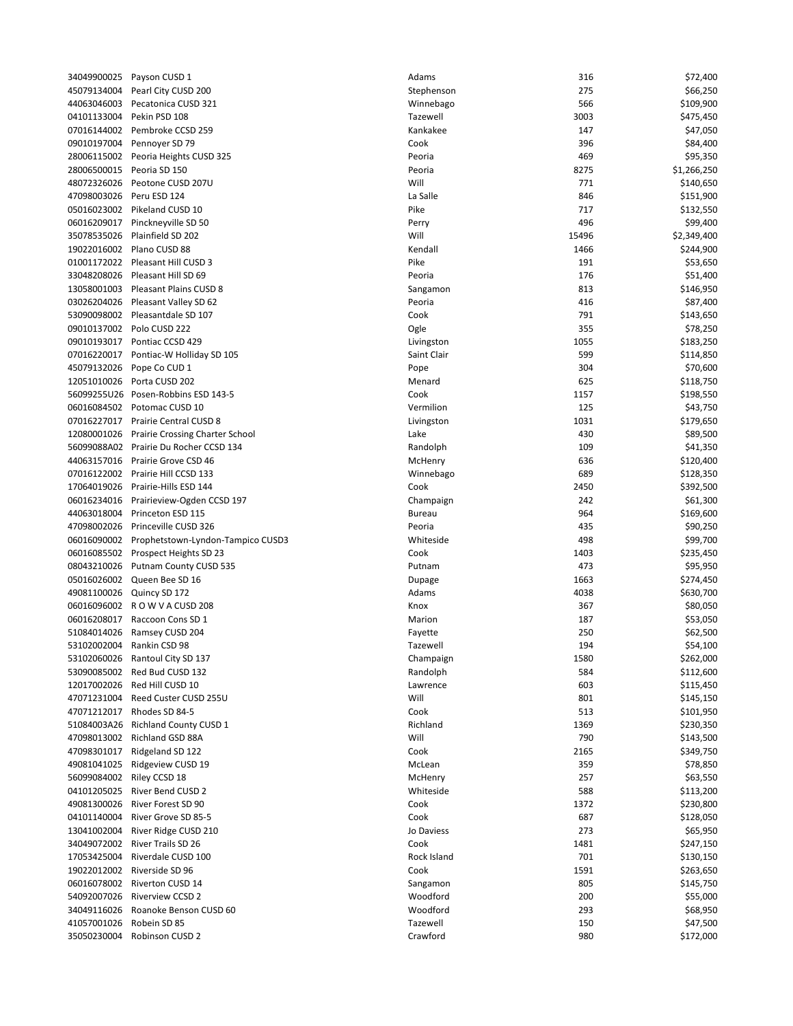| 34049900025 | Payson CUSD 1                    |
|-------------|----------------------------------|
| 45079134004 | Pearl City CUSD 200              |
| 44063046003 | Pecatonica CUSD 321              |
| 04101133004 | Pekin PSD 108                    |
| 07016144002 | Pembroke CCSD 259                |
| 09010197004 | Pennoyer SD 79                   |
| 28006115002 | Peoria Heights CUSD 325          |
| 28006500015 | Peoria SD 150                    |
| 48072326026 | Peotone CUSD 207U                |
| 47098003026 | Peru ESD 124                     |
| 05016023002 |                                  |
| 06016209017 | Pikeland CUSD 10                 |
|             | Pinckneyville SD 50              |
| 35078535026 | Plainfield SD 202                |
| 19022016002 | Plano CUSD 88                    |
| 01001172022 | Pleasant Hill CUSD 3             |
| 33048208026 | Pleasant Hill SD 69              |
| 13058001003 | Pleasant Plains CUSD 8           |
| 03026204026 | Pleasant Valley SD 62            |
| 53090098002 | Pleasantdale SD 107              |
| 09010137002 | Polo CUSD 222                    |
| 09010193017 | Pontiac CCSD 429                 |
| 07016220017 | Pontiac-W Holliday SD 105        |
| 45079132026 | Pope Co CUD 1                    |
| 12051010026 | Porta CUSD 202                   |
| 56099255U26 | Posen-Robbins ESD 143-5          |
| 06016084502 | Potomac CUSD 10                  |
| 07016227017 | Prairie Central CUSD 8           |
| 12080001026 | Prairie Crossing Charter School  |
| 56099088A02 | Prairie Du Rocher CCSD 134       |
| 44063157016 | Prairie Grove CSD 46             |
| 07016122002 | Prairie Hill CCSD 133            |
| 17064019026 | Prairie-Hills ESD 144            |
| 06016234016 | Prairieview-Ogden CCSD 197       |
| 44063018004 | Princeton ESD 115                |
| 47098002026 | Princeville CUSD 326             |
| 06016090002 | Prophetstown-Lyndon-Tampico CUSD |
| 06016085502 | Prospect Heights SD 23           |
| 08043210026 | Putnam County CUSD 535           |
| 05016026002 | Queen Bee SD 16                  |
| 49081100026 | Quincy SD 172                    |
| 06016096002 | ROW VACUSD 208                   |
| 06016208017 | Raccoon Cons SD 1                |
| 51084014026 | Ramsey CUSD 204                  |
| 53102002004 | Rankin CSD 98                    |
| 53102060026 | Rantoul City SD 137              |
| 53090085002 | Red Bud CUSD 132                 |
| 12017002026 | Red Hill CUSD 10                 |
| 47071231004 | Reed Custer CUSD 255U            |
| 47071212017 | Rhodes SD 84-5                   |
| 51084003A26 | Richland County CUSD 1           |
| 47098013002 | Richland GSD 88A                 |
| 47098301017 | Ridgeland SD 122                 |
| 49081041025 | Ridgeview CUSD 19                |
| 56099084002 | Riley CCSD 18                    |
| 04101205025 | River Bend CUSD 2                |
| 49081300026 | <b>River Forest SD 90</b>        |
| 04101140004 | River Grove SD 85-5              |
| 13041002004 | River Ridge CUSD 210             |
| 34049072002 | River Trails SD 26               |
| 17053425004 | Riverdale CUSD 100               |
| 19022012002 | Riverside SD 96                  |
| 06016078002 | Riverton CUSD 14                 |
| 54092007026 | <b>Riverview CCSD 2</b>          |
| 34049116026 | Roanoke Benson CUSD 60           |
| 41057001026 | Robein SD 85                     |
|             | 35050230004 Robinson CUSD 2      |
|             |                                  |

|                          | 34049900025 Payson CUSD 1                     | Adams         | 316   | \$72,400    |
|--------------------------|-----------------------------------------------|---------------|-------|-------------|
| 45079134004              | Pearl City CUSD 200                           | Stephenson    | 275   | \$66,250    |
| 44063046003              | Pecatonica CUSD 321                           | Winnebago     | 566   | \$109,900   |
| 04101133004              | Pekin PSD 108                                 | Tazewell      | 3003  | \$475,450   |
|                          | 07016144002 Pembroke CCSD 259                 | Kankakee      | 147   | \$47,050    |
| 09010197004              | Pennover SD 79                                | Cook          | 396   | \$84,400    |
|                          | 28006115002 Peoria Heights CUSD 325           | Peoria        | 469   | \$95,350    |
| 28006500015              | Peoria SD 150                                 | Peoria        | 8275  | \$1,266,250 |
| 48072326026              | Peotone CUSD 207U                             | Will          | 771   | \$140,650   |
| 47098003026 Peru ESD 124 |                                               | La Salle      | 846   | \$151,900   |
|                          | 05016023002 Pikeland CUSD 10                  | Pike          | 717   | \$132,550   |
|                          |                                               |               | 496   | \$99,400    |
| 06016209017              | Pinckneyville SD 50                           | Perry         |       |             |
| 35078535026              | Plainfield SD 202                             | Will          | 15496 | \$2,349,400 |
|                          | 19022016002 Plano CUSD 88                     | Kendall       | 1466  | \$244,900   |
|                          | 01001172022 Pleasant Hill CUSD 3              | Pike          | 191   | \$53,650    |
|                          | 33048208026 Pleasant Hill SD 69               | Peoria        | 176   | \$51,400    |
|                          | 13058001003 Pleasant Plains CUSD 8            | Sangamon      | 813   | \$146,950   |
|                          | 03026204026 Pleasant Valley SD 62             | Peoria        | 416   | \$87,400    |
|                          | 53090098002 Pleasantdale SD 107               | Cook          | 791   | \$143,650   |
|                          | 09010137002 Polo CUSD 222                     | Ogle          | 355   | \$78,250    |
|                          | 09010193017 Pontiac CCSD 429                  | Livingston    | 1055  | \$183,250   |
| 07016220017              | Pontiac-W Holliday SD 105                     | Saint Clair   | 599   | \$114,850   |
| 45079132026              | Pope Co CUD 1                                 | Pope          | 304   | \$70,600    |
|                          | 12051010026 Porta CUSD 202                    | Menard        | 625   | \$118,750   |
|                          | 56099255U26 Posen-Robbins ESD 143-5           | Cook          | 1157  | \$198,550   |
|                          | 06016084502 Potomac CUSD 10                   | Vermilion     | 125   | \$43,750    |
|                          | 07016227017 Prairie Central CUSD 8            | Livingston    | 1031  | \$179,650   |
| 12080001026              | Prairie Crossing Charter School               | Lake          | 430   | \$89,500    |
|                          | 56099088A02 Prairie Du Rocher CCSD 134        | Randolph      | 109   |             |
|                          |                                               |               |       | \$41,350    |
|                          | 44063157016 Prairie Grove CSD 46              | McHenry       | 636   | \$120,400   |
|                          | 07016122002 Prairie Hill CCSD 133             | Winnebago     | 689   | \$128,350   |
| 17064019026              | Prairie-Hills ESD 144                         | Cook          | 2450  | \$392,500   |
| 06016234016              | Prairieview-Ogden CCSD 197                    | Champaign     | 242   | \$61,300    |
| 44063018004              | Princeton ESD 115                             | <b>Bureau</b> | 964   | \$169,600   |
|                          | 47098002026 Princeville CUSD 326              | Peoria        | 435   | \$90,250    |
|                          | 06016090002 Prophetstown-Lyndon-Tampico CUSD3 | Whiteside     | 498   | \$99,700    |
|                          | 06016085502 Prospect Heights SD 23            | Cook          | 1403  | \$235,450   |
| 08043210026              | Putnam County CUSD 535                        | Putnam        | 473   | \$95,950    |
|                          | 05016026002 Queen Bee SD 16                   | Dupage        | 1663  | \$274,450   |
|                          | 49081100026 Quincy SD 172                     | Adams         | 4038  | \$630,700   |
|                          | 06016096002 ROWVACUSD 208                     | Knox          | 367   | \$80,050    |
| 06016208017              | Raccoon Cons SD 1                             | Marion        | 187   | \$53,050    |
| 51084014026              | Ramsey CUSD 204                               | Fayette       | 250   | \$62,500    |
|                          | 53102002004 Rankin CSD 98                     | Tazewell      | 194   | \$54,100    |
|                          | 53102060026 Rantoul City SD 137               | Champaign     | 1580  | \$262,000   |
| 53090085002              | Red Bud CUSD 132                              | Randolph      | 584   | \$112,600   |
| 12017002026              | Red Hill CUSD 10                              | Lawrence      | 603   | \$115,450   |
| 47071231004              | Reed Custer CUSD 255U                         | Will          | 801   | \$145,150   |
|                          | 47071212017 Rhodes SD 84-5                    | Cook          |       |             |
|                          |                                               |               | 513   | \$101,950   |
| 51084003A26              | <b>Richland County CUSD 1</b>                 | Richland      | 1369  | \$230,350   |
| 47098013002              | Richland GSD 88A                              | Will          | 790   | \$143,500   |
| 47098301017              | Ridgeland SD 122                              | Cook          | 2165  | \$349,750   |
| 49081041025              | Ridgeview CUSD 19                             | McLean        | 359   | \$78,850    |
| 56099084002              | Riley CCSD 18                                 | McHenry       | 257   | \$63,550    |
| 04101205025              | River Bend CUSD 2                             | Whiteside     | 588   | \$113,200   |
| 49081300026              | River Forest SD 90                            | Cook          | 1372  | \$230,800   |
| 04101140004              | River Grove SD 85-5                           | Cook          | 687   | \$128,050   |
| 13041002004              | River Ridge CUSD 210                          | Jo Daviess    | 273   | \$65,950    |
| 34049072002              | River Trails SD 26                            | Cook          | 1481  | \$247,150   |
| 17053425004              | Riverdale CUSD 100                            | Rock Island   | 701   | \$130,150   |
| 19022012002              | Riverside SD 96                               | Cook          | 1591  | \$263,650   |
| 06016078002              | Riverton CUSD 14                              | Sangamon      | 805   | \$145,750   |
| 54092007026              | <b>Riverview CCSD 2</b>                       | Woodford      | 200   | \$55,000    |
| 34049116026              | Roanoke Benson CUSD 60                        | Woodford      | 293   | \$68,950    |
| 41057001026              | Robein SD 85                                  | Tazewell      | 150   | \$47,500    |
| 35050230004              | Robinson CUSD 2                               | Crawford      | 980   | \$172,000   |
|                          |                                               |               |       |             |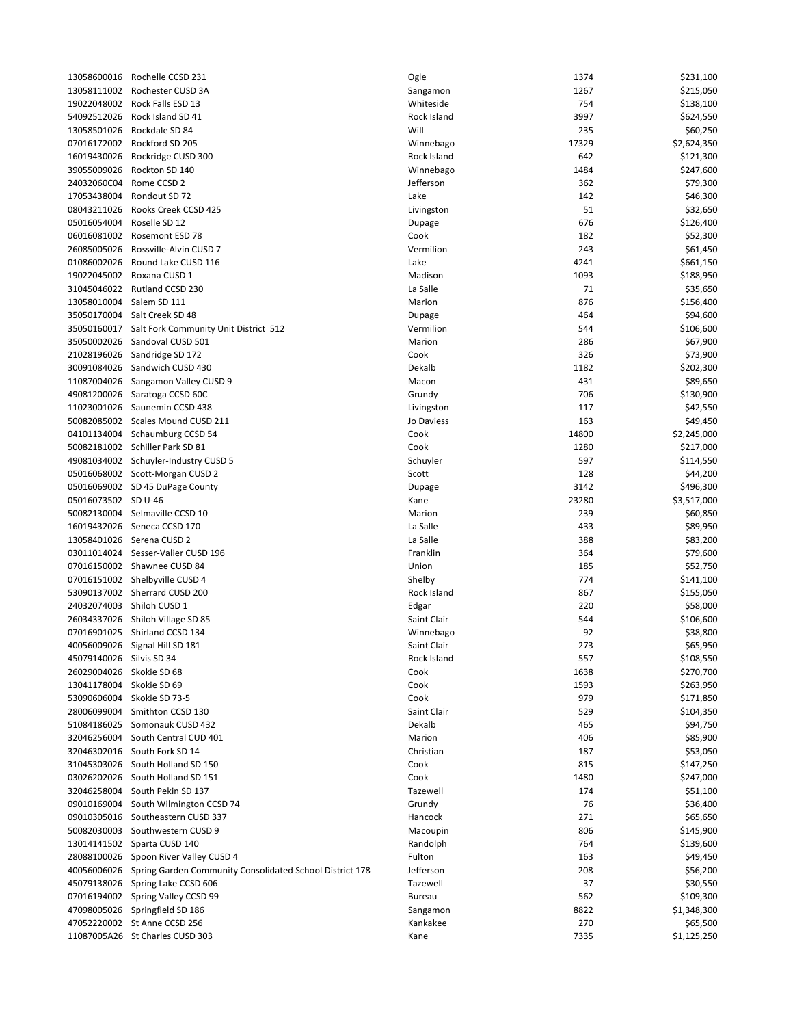| 13058600016              | Rochelle CCSD 231                                                    | Ogle          | 1374  | \$231,100   |
|--------------------------|----------------------------------------------------------------------|---------------|-------|-------------|
| 13058111002              | Rochester CUSD 3A                                                    | Sangamon      | 1267  | \$215,050   |
| 19022048002              | Rock Falls ESD 13                                                    | Whiteside     | 754   | \$138,100   |
| 54092512026              | Rock Island SD 41                                                    | Rock Island   | 3997  | \$624,550   |
| 13058501026              | Rockdale SD 84                                                       | Will          | 235   | \$60,250    |
| 07016172002              | Rockford SD 205                                                      | Winnebago     | 17329 | \$2,624,350 |
| 16019430026              | Rockridge CUSD 300                                                   | Rock Island   | 642   | \$121,300   |
| 39055009026              | Rockton SD 140                                                       | Winnebago     | 1484  | \$247,600   |
| 24032060C04              | Rome CCSD 2                                                          | Jefferson     | 362   | \$79,300    |
| 17053438004              | Rondout SD 72                                                        | Lake          | 142   | \$46,300    |
| 08043211026              | Rooks Creek CCSD 425                                                 | Livingston    | 51    | \$32,650    |
| 05016054004              | Roselle SD 12                                                        | Dupage        | 676   | \$126,400   |
| 06016081002              | Rosemont ESD 78                                                      | Cook          | 182   |             |
|                          |                                                                      |               |       | \$52,300    |
| 26085005026              | Rossville-Alvin CUSD 7                                               | Vermilion     | 243   | \$61,450    |
| 01086002026              | Round Lake CUSD 116                                                  | Lake          | 4241  | \$661,150   |
| 19022045002              | Roxana CUSD 1                                                        | Madison       | 1093  | \$188,950   |
|                          | 31045046022 Rutland CCSD 230                                         | La Salle      | 71    | \$35,650    |
| 13058010004              | Salem SD 111                                                         | Marion        | 876   | \$156,400   |
|                          | 35050170004 Salt Creek SD 48                                         | Dupage        | 464   | \$94,600    |
|                          | 35050160017 Salt Fork Community Unit District 512                    | Vermilion     | 544   | \$106,600   |
|                          | 35050002026 Sandoval CUSD 501                                        | Marion        | 286   | \$67,900    |
|                          | 21028196026 Sandridge SD 172                                         | Cook          | 326   | \$73,900    |
|                          | 30091084026 Sandwich CUSD 430                                        | Dekalb        | 1182  | \$202,300   |
|                          | 11087004026 Sangamon Valley CUSD 9                                   | Macon         | 431   | \$89,650    |
|                          | 49081200026 Saratoga CCSD 60C                                        | Grundy        | 706   | \$130,900   |
|                          | 11023001026 Saunemin CCSD 438                                        | Livingston    | 117   | \$42,550    |
|                          | 50082085002 Scales Mound CUSD 211                                    | Jo Daviess    | 163   | \$49,450    |
|                          | 04101134004 Schaumburg CCSD 54                                       | Cook          | 14800 | \$2,245,000 |
|                          | 50082181002 Schiller Park SD 81                                      | Cook          | 1280  |             |
|                          |                                                                      |               |       | \$217,000   |
|                          | 49081034002 Schuyler-Industry CUSD 5                                 | Schuyler      | 597   | \$114,550   |
|                          | 05016068002 Scott-Morgan CUSD 2                                      | Scott         | 128   | \$44,200    |
|                          | 05016069002 SD 45 DuPage County                                      | Dupage        | 3142  | \$496,300   |
| 05016073502 SD U-46      |                                                                      | Kane          | 23280 | \$3,517,000 |
|                          | 50082130004 Selmaville CCSD 10                                       | Marion        | 239   | \$60,850    |
|                          | 16019432026 Seneca CCSD 170                                          | La Salle      | 433   | \$89,950    |
|                          | 13058401026 Serena CUSD 2                                            | La Salle      | 388   | \$83,200    |
|                          | 03011014024 Sesser-Valier CUSD 196                                   | Franklin      | 364   | \$79,600    |
|                          | 07016150002 Shawnee CUSD 84                                          | Union         | 185   | \$52,750    |
|                          | 07016151002 Shelbyville CUSD 4                                       | Shelby        | 774   | \$141,100   |
|                          | 53090137002 Sherrard CUSD 200                                        | Rock Island   | 867   | \$155,050   |
|                          | 24032074003 Shiloh CUSD 1                                            | Edgar         | 220   | \$58,000    |
|                          | 26034337026 Shiloh Village SD 85                                     | Saint Clair   | 544   | \$106,600   |
| 07016901025              | Shirland CCSD 134                                                    | Winnebago     | 92    | \$38,800    |
|                          | 40056009026 Signal Hill SD 181                                       | Saint Clair   | 273   | \$65,950    |
| 45079140026 Silvis SD 34 |                                                                      | Rock Island   | 557   | \$108,550   |
| 26029004026              | Skokie SD 68                                                         | Cook          | 1638  | \$270,700   |
| 13041178004 Skokie SD 69 |                                                                      | Cook          | 1593  | \$263,950   |
|                          | Skokie SD 73-5                                                       | Cook          | 979   | \$171,850   |
| 53090606004              |                                                                      |               |       |             |
|                          | 28006099004 Smithton CCSD 130                                        | Saint Clair   | 529   | \$104,350   |
| 51084186025              | Somonauk CUSD 432                                                    | Dekalb        | 465   | \$94,750    |
|                          | 32046256004 South Central CUD 401                                    | Marion        | 406   | \$85,900    |
|                          | 32046302016 South Fork SD 14                                         | Christian     | 187   | \$53,050    |
|                          | 31045303026 South Holland SD 150                                     | Cook          | 815   | \$147,250   |
|                          | 03026202026 South Holland SD 151                                     | Cook          | 1480  | \$247,000   |
| 32046258004              | South Pekin SD 137                                                   | Tazewell      | 174   | \$51,100    |
| 09010169004              | South Wilmington CCSD 74                                             | Grundy        | 76    | \$36,400    |
|                          | 09010305016 Southeastern CUSD 337                                    | Hancock       | 271   | \$65,650    |
|                          | 50082030003 Southwestern CUSD 9                                      | Macoupin      | 806   | \$145,900   |
|                          | 13014141502 Sparta CUSD 140                                          | Randolph      | 764   | \$139,600   |
|                          | 28088100026 Spoon River Valley CUSD 4                                | Fulton        | 163   | \$49,450    |
|                          | 40056006026 Spring Garden Community Consolidated School District 178 | Jefferson     | 208   | \$56,200    |
|                          | 45079138026 Spring Lake CCSD 606                                     | Tazewell      | 37    | \$30,550    |
|                          | 07016194002 Spring Valley CCSD 99                                    | <b>Bureau</b> | 562   | \$109,300   |
|                          | 47098005026 Springfield SD 186                                       | Sangamon      | 8822  | \$1,348,300 |
|                          | 47052220002 St Anne CCSD 256                                         | Kankakee      | 270   | \$65,500    |
|                          | 11087005A26 St Charles CUSD 303                                      | Kane          | 7335  | \$1,125,250 |
|                          |                                                                      |               |       |             |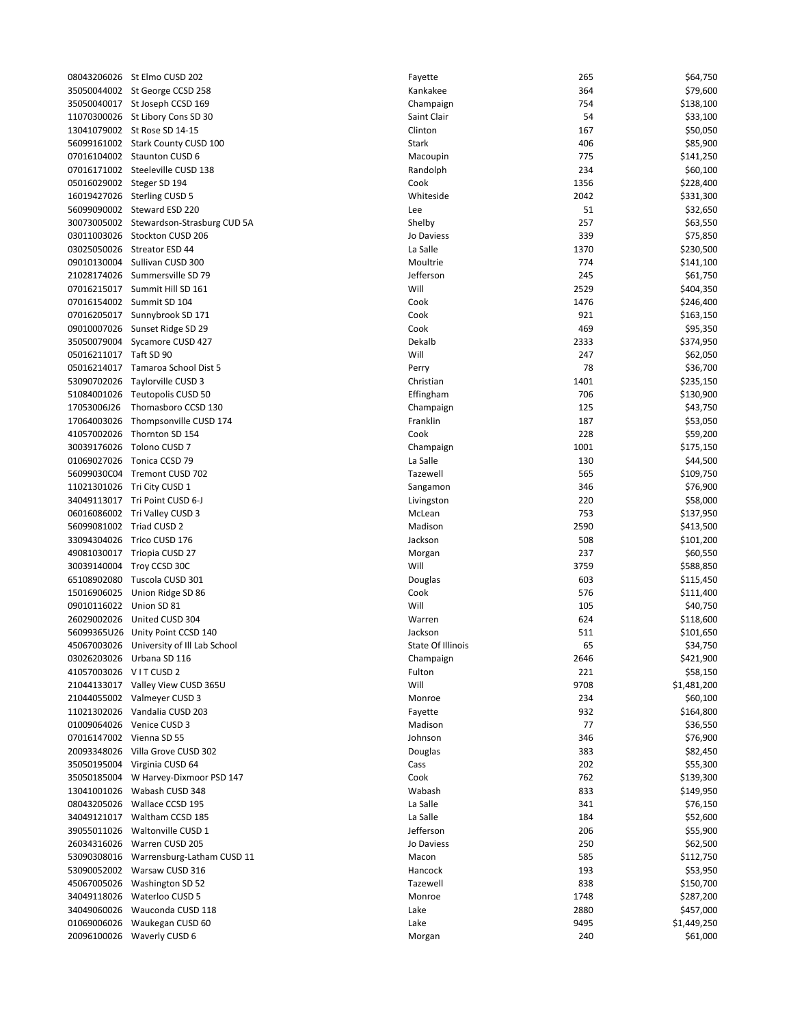| 08043206026                | St Elmo CUSD 202                   |
|----------------------------|------------------------------------|
| 35050044002                | St George CCSD 258                 |
| 35050040017                | St Joseph CCSD 169                 |
|                            |                                    |
| 11070300026                | St Libory Cons SD 30               |
| 13041079002                | St Rose SD 14-15                   |
| 56099161002                | <b>Stark County CUSD 100</b>       |
| 07016104002                | <b>Staunton CUSD 6</b>             |
|                            |                                    |
| 07016171002                | Steeleville CUSD 138               |
| 05016029002                | Steger SD 194                      |
| 16019427026                | <b>Sterling CUSD 5</b>             |
| 56099090002                | Steward ESD 220                    |
| 30073005002                | Stewardson-Strasburg CUD 5A        |
|                            |                                    |
| 03011003026                | Stockton CUSD 206                  |
| 03025050026                | Streator ESD 44                    |
| 09010130004                | Sullivan CUSD 300                  |
| 21028174026                | Summersville SD 79                 |
|                            |                                    |
| 07016215017                | Summit Hill SD 161                 |
| 07016154002                | Summit SD 104                      |
| 07016205017                | Sunnybrook SD 171                  |
| 09010007026                | Sunset Ridge SD 29                 |
| 35050079004                | Sycamore CUSD 427                  |
|                            |                                    |
| 05016211017                | Taft SD 90                         |
| 05016214017                | Tamaroa School Dist 5              |
| 53090702026                | Tavlorville CUSD 3                 |
| 51084001026                | Teutopolis CUSD 50                 |
|                            |                                    |
| 17053006J26                | Thomasboro CCSD 130                |
| 17064003026                | Thompsonville CUSD 174             |
| 41057002026                | Thornton SD 154                    |
| 30039176026                | Tolono CUSD 7                      |
| 01069027026                | Tonica CCSD 79                     |
|                            |                                    |
| 56099030C04                | Tremont CUSD 702                   |
| 11021301026                | Tri City CUSD 1                    |
| 34049113017                | Tri Point CUSD 6-J                 |
| 06016086002                | Tri Valley CUSD 3                  |
| 56099081002                | Triad CUSD 2                       |
|                            |                                    |
| 33094304026                | Trico CUSD 176                     |
| 49081030017                | Triopia CUSD 27                    |
| 30039140004                | Troy CCSD 30C                      |
| 65108902080                | Tuscola CUSD 301                   |
| 15016906025                | Union Ridge SD 86                  |
|                            |                                    |
| 09010116022                | Union SD 81                        |
| 26029002026                | United CUSD 304                    |
| 56099365U26                | Unity Point CCSD 140               |
| 45067003026                | University of Ill Lab School       |
|                            |                                    |
| 03026203026                | Urbana SD 116                      |
| 41057003026                | VITCUSD <sub>2</sub>               |
| 21044133017                | Valley View CUSD 365U              |
| 21044055002                | Valmeyer CUSD 3                    |
| 11021302026                | Vandalia CUSD 203                  |
|                            | Venice CUSD 3                      |
| 01009064026                |                                    |
| 07016147002                | Vienna SD 55                       |
| 20093348026                | Villa Grove CUSD 302               |
| 35050195004                | Virginia CUSD 64                   |
| 35050185004                | W Harvey-Dixmoor PSD 147           |
|                            |                                    |
| 13041001026                | Wabash CUSD 348                    |
| 08043205026                | Wallace CCSD 195                   |
| 34049121017                | Waltham CCSD 185                   |
| 39055011026                | Waltonville CUSD 1                 |
| 26034316026                | Warren CUSD 205                    |
|                            |                                    |
| 53090308016                | Warrensburg-Latham CUSD 11         |
| 53090052002                | Warsaw CUSD 316                    |
| 45067005026                | Washington SD 52                   |
| 34049118026                | Waterloo CUSD 5                    |
|                            |                                    |
|                            |                                    |
| 34049060026                | Wauconda CUSD 118                  |
| 01069006026<br>20096100026 | Waukegan CUSD 60<br>Waverly CUSD 6 |

|                          | 08043206026 St Elmo CUSD 202             | Fayette           | 265  | \$64,750    |
|--------------------------|------------------------------------------|-------------------|------|-------------|
|                          | 35050044002 St George CCSD 258           | Kankakee          | 364  | \$79,600    |
|                          | 35050040017 St Joseph CCSD 169           | Champaign         | 754  | \$138,100   |
|                          | 11070300026 St Libory Cons SD 30         | Saint Clair       | 54   | \$33,100    |
|                          | 13041079002 St Rose SD 14-15             | Clinton           | 167  | \$50,050    |
|                          | 56099161002 Stark County CUSD 100        | Stark             | 406  | \$85,900    |
|                          | 07016104002 Staunton CUSD 6              | Macoupin          | 775  | \$141,250   |
|                          | 07016171002 Steeleville CUSD 138         | Randolph          | 234  | \$60,100    |
|                          | 05016029002 Steger SD 194                | Cook              | 1356 | \$228,400   |
|                          | 16019427026 Sterling CUSD 5              | Whiteside         | 2042 | \$331,300   |
|                          | 56099090002 Steward ESD 220              | Lee               | 51   | \$32,650    |
|                          | 30073005002 Stewardson-Strasburg CUD 5A  | Shelby            | 257  | \$63,550    |
|                          | 03011003026 Stockton CUSD 206            | Jo Daviess        | 339  | \$75,850    |
|                          | 03025050026 Streator ESD 44              | La Salle          | 1370 | \$230,500   |
|                          | 09010130004 Sullivan CUSD 300            | Moultrie          | 774  | \$141,100   |
|                          | 21028174026 Summersville SD 79           | Jefferson         | 245  | \$61,750    |
|                          | 07016215017 Summit Hill SD 161           | Will              | 2529 | \$404,350   |
|                          | 07016154002 Summit SD 104                | Cook              | 1476 | \$246,400   |
|                          | 07016205017 Sunnybrook SD 171            | Cook              | 921  | \$163,150   |
|                          | 09010007026 Sunset Ridge SD 29           | Cook              | 469  | \$95,350    |
|                          |                                          | Dekalb            | 2333 |             |
|                          | 35050079004 Sycamore CUSD 427            |                   |      | \$374,950   |
| 05016211017 Taft SD 90   |                                          | Will              | 247  | \$62,050    |
|                          | 05016214017 Tamaroa School Dist 5        | Perry             | 78   | \$36,700    |
|                          | 53090702026 Taylorville CUSD 3           | Christian         | 1401 | \$235,150   |
|                          | 51084001026 Teutopolis CUSD 50           | Effingham         | 706  | \$130,900   |
| 17053006J26              | Thomasboro CCSD 130                      | Champaign         | 125  | \$43,750    |
| 17064003026              | Thompsonville CUSD 174                   | Franklin          | 187  | \$53,050    |
| 41057002026              | Thornton SD 154                          | Cook              | 228  | \$59,200    |
| 30039176026              | Tolono CUSD 7                            | Champaign         | 1001 | \$175,150   |
|                          | 01069027026 Tonica CCSD 79               | La Salle          | 130  | \$44,500    |
|                          | 56099030C04 Tremont CUSD 702             | Tazewell          | 565  | \$109,750   |
|                          | 11021301026 Tri City CUSD 1              | Sangamon          | 346  | \$76,900    |
|                          | 34049113017 Tri Point CUSD 6-J           | Livingston        | 220  | \$58,000    |
|                          | 06016086002 Tri Valley CUSD 3            | McLean            | 753  | \$137,950   |
|                          |                                          |                   |      |             |
| 56099081002 Triad CUSD 2 |                                          | Madison           | 2590 | \$413,500   |
|                          | 33094304026 Trico CUSD 176               | Jackson           | 508  | \$101,200   |
|                          | 49081030017 Triopia CUSD 27              | Morgan            | 237  | \$60,550    |
|                          | 30039140004 Troy CCSD 30C                | Will              | 3759 | \$588,850   |
| 65108902080              | Tuscola CUSD 301                         | Douglas           | 603  | \$115,450   |
| 15016906025              | Union Ridge SD 86                        | Cook              | 576  | \$111,400   |
| 09010116022 Union SD 81  |                                          | Will              | 105  | \$40,750    |
| 26029002026              | United CUSD 304                          | Warren            | 624  | \$118,600   |
|                          | 56099365U26 Unity Point CCSD 140         | Jackson           | 511  | \$101,650   |
|                          | 45067003026 University of Ill Lab School | State Of Illinois | 65   | \$34,750    |
| 03026203026              | Urbana SD 116                            | Champaign         | 2646 | \$421,900   |
| 41057003026              | VITCUSD <sub>2</sub>                     | Fulton            | 221  | \$58,150    |
|                          | 21044133017 Valley View CUSD 365U        | Will              | 9708 | \$1,481,200 |
|                          | 21044055002 Valmeyer CUSD 3              | Monroe            | 234  | \$60,100    |
|                          | 11021302026 Vandalia CUSD 203            | Fayette           | 932  | \$164,800   |
| 01009064026              | Venice CUSD 3                            | Madison           | 77   | \$36,550    |
| 07016147002              | Vienna SD 55                             | Johnson           | 346  | \$76,900    |
|                          |                                          |                   |      |             |
| 20093348026              | Villa Grove CUSD 302                     | Douglas           | 383  | \$82,450    |
|                          | 35050195004 Virginia CUSD 64             | Cass              | 202  | \$55,300    |
| 35050185004              | W Harvey-Dixmoor PSD 147                 | Cook              | 762  | \$139,300   |
| 13041001026              | Wabash CUSD 348                          | Wabash            | 833  | \$149,950   |
| 08043205026              | Wallace CCSD 195                         | La Salle          | 341  | \$76,150    |
|                          |                                          | La Salle          | 184  | \$52,600    |
| 39055011026              | Waltonville CUSD 1                       | Jefferson         | 206  | \$55,900    |
| 26034316026              | Warren CUSD 205                          | Jo Daviess        | 250  | \$62,500    |
| 53090308016              | Warrensburg-Latham CUSD 11               | Macon             | 585  | \$112,750   |
| 53090052002              | Warsaw CUSD 316                          | Hancock           | 193  | \$53,950    |
| 45067005026              | Washington SD 52                         | Tazewell          | 838  | \$150,700   |
| 34049118026              | Waterloo CUSD 5                          | Monroe            | 1748 | \$287,200   |
| 34049060026              | Wauconda CUSD 118                        | Lake              | 2880 | \$457,000   |
| 01069006026              | Waukegan CUSD 60                         | Lake              | 9495 | \$1,449,250 |
| 20096100026              | Waverly CUSD 6                           | Morgan            | 240  | \$61,000    |
|                          |                                          |                   |      |             |